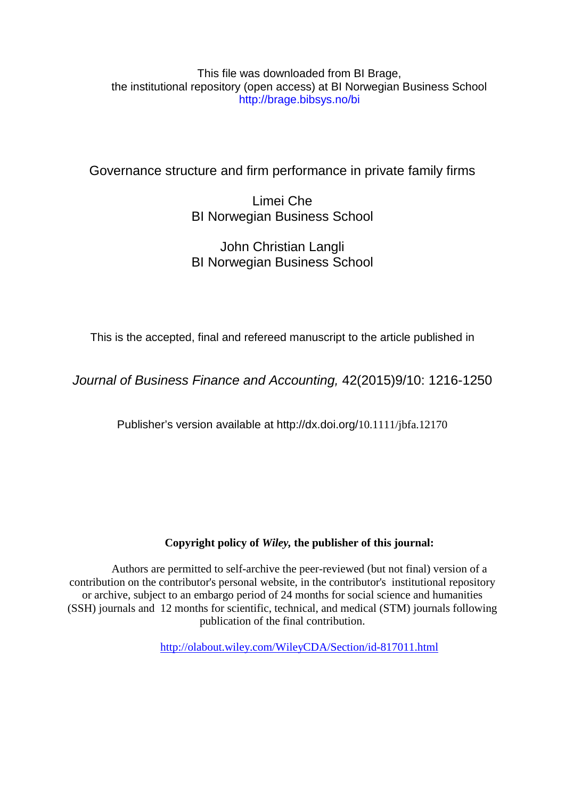### This file was downloaded from BI Brage, the institutional repository (open access) at BI Norwegian Business School http://brage.bibsys.no/bi

# Governance structure and firm performance in private family firms

# Limei Che BI Norwegian Business School

## John Christian Langli BI Norwegian Business School

This is the accepted, final and refereed manuscript to the article published in

*Journal of Business Finance and Accounting,* 42(2015)9/10: 1216-1250

Publisher's version available at http://dx.doi.org/10.1111/jbfa.12170

### **Copyright policy of** *Wiley,* **the publisher of this journal:**

Authors are permitted to self-archive the peer-reviewed (but not final) version of a contribution on the contributor's personal website, in the contributor's institutional repository or archive, subject to an embargo period of 24 months for social science and humanities (SSH) journals and 12 months for scientific, technical, and medical (STM) journals following publication of the final contribution.

<http://olabout.wiley.com/WileyCDA/Section/id-817011.html>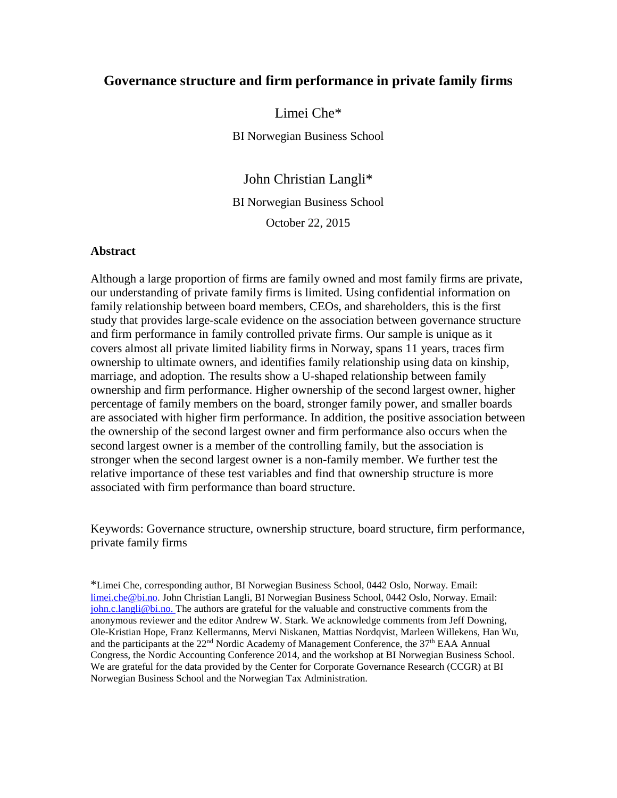### **Governance structure and firm performance in private family firms**

Limei Che\*

BI Norwegian Business School

John Christian Langli\* BI Norwegian Business School October 22, 2015

#### **Abstract**

Although a large proportion of firms are family owned and most family firms are private, our understanding of private family firms is limited. Using confidential information on family relationship between board members, CEOs, and shareholders, this is the first study that provides large-scale evidence on the association between governance structure and firm performance in family controlled private firms. Our sample is unique as it covers almost all private limited liability firms in Norway, spans 11 years, traces firm ownership to ultimate owners, and identifies family relationship using data on kinship, marriage, and adoption. The results show a U-shaped relationship between family ownership and firm performance. Higher ownership of the second largest owner, higher percentage of family members on the board, stronger family power, and smaller boards are associated with higher firm performance. In addition, the positive association between the ownership of the second largest owner and firm performance also occurs when the second largest owner is a member of the controlling family, but the association is stronger when the second largest owner is a non-family member. We further test the relative importance of these test variables and find that ownership structure is more associated with firm performance than board structure.

Keywords: Governance structure, ownership structure, board structure, firm performance, private family firms

\*Limei Che, corresponding author, BI Norwegian Business School, 0442 Oslo, Norway. Email: [limei.che@bi.no.](mailto:limei.che@bi.no) John Christian Langli, BI Norwegian Business School, 0442 Oslo, Norway. Email: [john.c.langli@bi.no.](mailto:john.c.langli@bi.no) The authors are grateful for the valuable and constructive comments from the anonymous reviewer and the editor Andrew W. Stark. We acknowledge comments from Jeff Downing, Ole-Kristian Hope, Franz Kellermanns, Mervi Niskanen, Mattias Nordqvist, Marleen Willekens, Han Wu, and the participants at the  $22<sup>nd</sup>$  Nordic Academy of Management Conference, the  $37<sup>th</sup>$  EAA Annual Congress, the Nordic Accounting Conference 2014, and the workshop at BI Norwegian Business School. We are grateful for the data provided by the Center for Corporate Governance Research (CCGR) at BI Norwegian Business School and the Norwegian Tax Administration.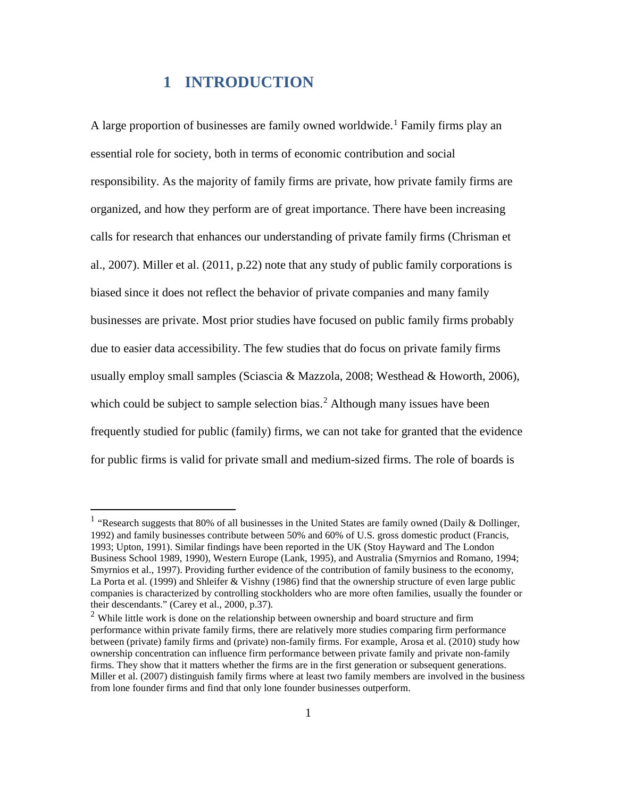## **1 INTRODUCTION**

A large proportion of businesses are family owned worldwide.<sup>[1](#page-2-0)</sup> Family firms play an essential role for society, both in terms of economic contribution and social responsibility. As the majority of family firms are private, how private family firms are organized, and how they perform are of great importance. There have been increasing calls for research that enhances our understanding of private family firms (Chrisman et al., 2007). Miller et al. (2011, p.22) note that any study of public family corporations is biased since it does not reflect the behavior of private companies and many family businesses are private. Most prior studies have focused on public family firms probably due to easier data accessibility. The few studies that do focus on private family firms usually employ small samples (Sciascia & Mazzola, 2008; Westhead & Howorth, 2006), which could be subject to sample selection bias.<sup>[2](#page-2-1)</sup> Although many issues have been frequently studied for public (family) firms, we can not take for granted that the evidence for public firms is valid for private small and medium-sized firms. The role of boards is

<span id="page-2-0"></span><sup>&</sup>lt;sup>1</sup> "Research suggests that 80% of all businesses in the United States are family owned (Daily & Dollinger, 1992) and family businesses contribute between 50% and 60% of U.S. gross domestic product (Francis, 1993; Upton, 1991). Similar findings have been reported in the UK (Stoy Hayward and The London Business School 1989, 1990), Western Europe (Lank, 1995), and Australia (Smyrnios and Romano, 1994; Smyrnios et al., 1997). Providing further evidence of the contribution of family business to the economy, La Porta et al. (1999) and Shleifer & Vishny (1986) find that the ownership structure of even large public companies is characterized by controlling stockholders who are more often families, usually the founder or their descendants." (Carey et al., 2000, p.37).<br><sup>2</sup> While little work is done on the relationship between ownership and board structure and firm

<span id="page-2-1"></span>performance within private family firms, there are relatively more studies comparing firm performance between (private) family firms and (private) non-family firms. For example, Arosa et al. (2010) study how ownership concentration can influence firm performance between private family and private non-family firms. They show that it matters whether the firms are in the first generation or subsequent generations. Miller et al. (2007) distinguish family firms where at least two family members are involved in the business from lone founder firms and find that only lone founder businesses outperform.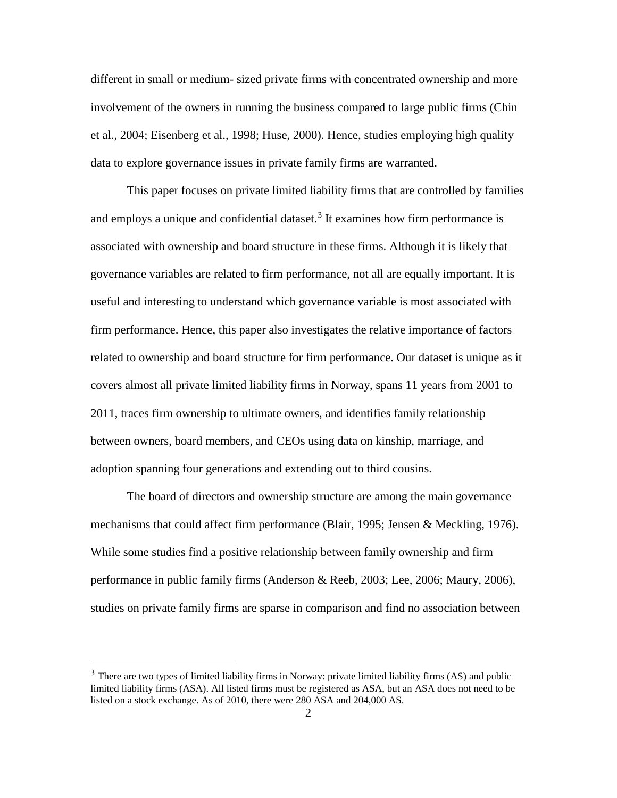different in small or medium- sized private firms with concentrated ownership and more involvement of the owners in running the business compared to large public firms (Chin et al., 2004; Eisenberg et al., 1998; Huse, 2000). Hence, studies employing high quality data to explore governance issues in private family firms are warranted.

This paper focuses on private limited liability firms that are controlled by families and employs a unique and confidential dataset.<sup>[3](#page-3-0)</sup> It examines how firm performance is associated with ownership and board structure in these firms. Although it is likely that governance variables are related to firm performance, not all are equally important. It is useful and interesting to understand which governance variable is most associated with firm performance. Hence, this paper also investigates the relative importance of factors related to ownership and board structure for firm performance. Our dataset is unique as it covers almost all private limited liability firms in Norway, spans 11 years from 2001 to 2011, traces firm ownership to ultimate owners, and identifies family relationship between owners, board members, and CEOs using data on kinship, marriage, and adoption spanning four generations and extending out to third cousins.

The board of directors and ownership structure are among the main governance mechanisms that could affect firm performance (Blair, 1995; Jensen & Meckling, 1976). While some studies find a positive relationship between family ownership and firm performance in public family firms (Anderson & Reeb, 2003; Lee, 2006; Maury, 2006), studies on private family firms are sparse in comparison and find no association between

<span id="page-3-0"></span> $3$  There are two types of limited liability firms in Norway: private limited liability firms (AS) and public limited liability firms (ASA). All listed firms must be registered as ASA, but an ASA does not need to be listed on a stock exchange. As of 2010, there were 280 ASA and 204,000 AS.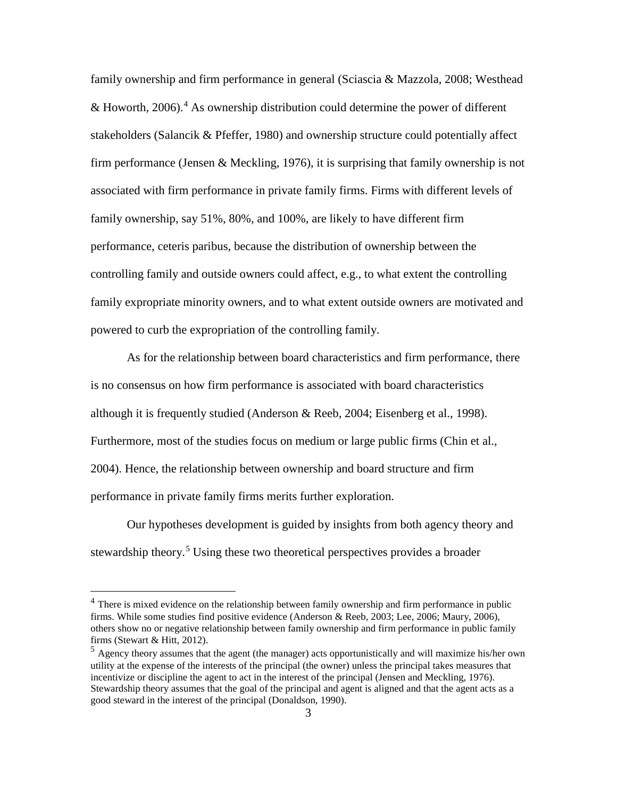family ownership and firm performance in general (Sciascia & Mazzola, 2008; Westhead & Howorth, 2006). [4](#page-4-0) As ownership distribution could determine the power of different stakeholders (Salancik & Pfeffer, 1980) and ownership structure could potentially affect firm performance (Jensen & Meckling, 1976), it is surprising that family ownership is not associated with firm performance in private family firms. Firms with different levels of family ownership, say 51%, 80%, and 100%, are likely to have different firm performance, ceteris paribus, because the distribution of ownership between the controlling family and outside owners could affect, e.g., to what extent the controlling family expropriate minority owners, and to what extent outside owners are motivated and powered to curb the expropriation of the controlling family.

As for the relationship between board characteristics and firm performance, there is no consensus on how firm performance is associated with board characteristics although it is frequently studied (Anderson & Reeb, 2004; Eisenberg et al., 1998). Furthermore, most of the studies focus on medium or large public firms (Chin et al., 2004). Hence, the relationship between ownership and board structure and firm performance in private family firms merits further exploration.

Our hypotheses development is guided by insights from both agency theory and stewardship theory.<sup>[5](#page-4-1)</sup> Using these two theoretical perspectives provides a broader

<span id="page-4-0"></span><sup>&</sup>lt;sup>4</sup> There is mixed evidence on the relationship between family ownership and firm performance in public firms. While some studies find positive evidence (Anderson & Reeb, 2003; Lee, 2006; Maury, 2006), others show no or negative relationship between family ownership and firm performance in public family firms (Stewart & Hitt, 2012).

<span id="page-4-1"></span><sup>5</sup> Agency theory assumes that the agent (the manager) acts opportunistically and will maximize his/her own utility at the expense of the interests of the principal (the owner) unless the principal takes measures that incentivize or discipline the agent to act in the interest of the principal (Jensen and Meckling, 1976). Stewardship theory assumes that the goal of the principal and agent is aligned and that the agent acts as a good steward in the interest of the principal (Donaldson, 1990).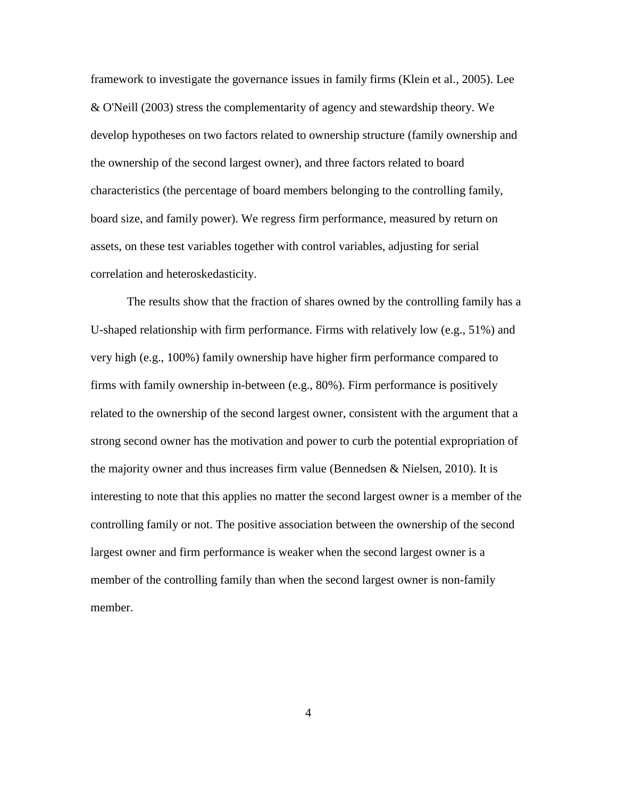framework to investigate the governance issues in family firms (Klein et al., 2005). Lee & O'Neill (2003) stress the complementarity of agency and stewardship theory. We develop hypotheses on two factors related to ownership structure (family ownership and the ownership of the second largest owner), and three factors related to board characteristics (the percentage of board members belonging to the controlling family, board size, and family power). We regress firm performance, measured by return on assets, on these test variables together with control variables, adjusting for serial correlation and heteroskedasticity.

The results show that the fraction of shares owned by the controlling family has a U-shaped relationship with firm performance. Firms with relatively low (e.g., 51%) and very high (e.g., 100%) family ownership have higher firm performance compared to firms with family ownership in-between (e.g., 80%). Firm performance is positively related to the ownership of the second largest owner, consistent with the argument that a strong second owner has the motivation and power to curb the potential expropriation of the majority owner and thus increases firm value (Bennedsen  $\&$  Nielsen, 2010). It is interesting to note that this applies no matter the second largest owner is a member of the controlling family or not. The positive association between the ownership of the second largest owner and firm performance is weaker when the second largest owner is a member of the controlling family than when the second largest owner is non-family member.

4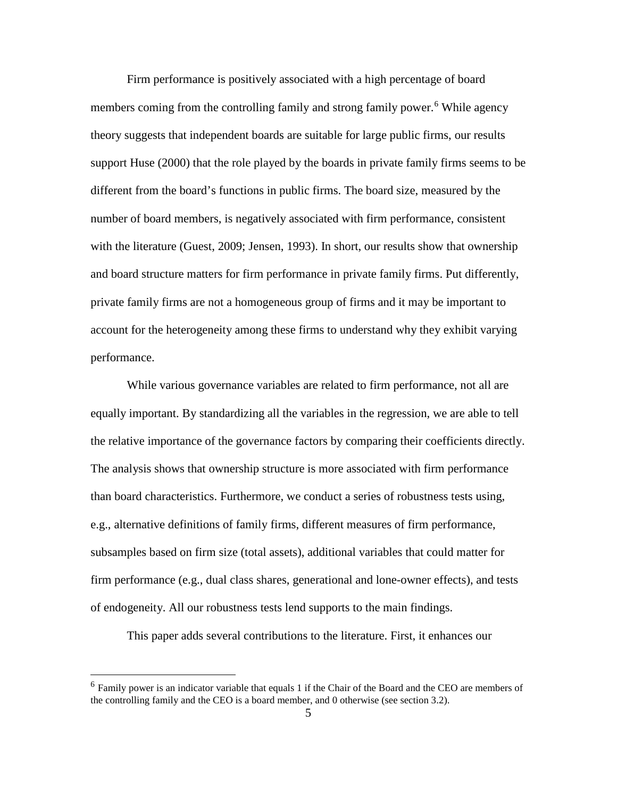Firm performance is positively associated with a high percentage of board members coming from the controlling family and strong family power.<sup>[6](#page-6-0)</sup> While agency theory suggests that independent boards are suitable for large public firms, our results support Huse (2000) that the role played by the boards in private family firms seems to be different from the board's functions in public firms. The board size, measured by the number of board members, is negatively associated with firm performance, consistent with the literature (Guest, 2009; Jensen, 1993). In short, our results show that ownership and board structure matters for firm performance in private family firms. Put differently, private family firms are not a homogeneous group of firms and it may be important to account for the heterogeneity among these firms to understand why they exhibit varying performance.

While various governance variables are related to firm performance, not all are equally important. By standardizing all the variables in the regression, we are able to tell the relative importance of the governance factors by comparing their coefficients directly. The analysis shows that ownership structure is more associated with firm performance than board characteristics. Furthermore, we conduct a series of robustness tests using, e.g., alternative definitions of family firms, different measures of firm performance, subsamples based on firm size (total assets), additional variables that could matter for firm performance (e.g., dual class shares, generational and lone-owner effects), and tests of endogeneity. All our robustness tests lend supports to the main findings.

This paper adds several contributions to the literature. First, it enhances our

<span id="page-6-0"></span> $6$  Family power is an indicator variable that equals 1 if the Chair of the Board and the CEO are members of the controlling family and the CEO is a board member, and 0 otherwise (see section 3.2).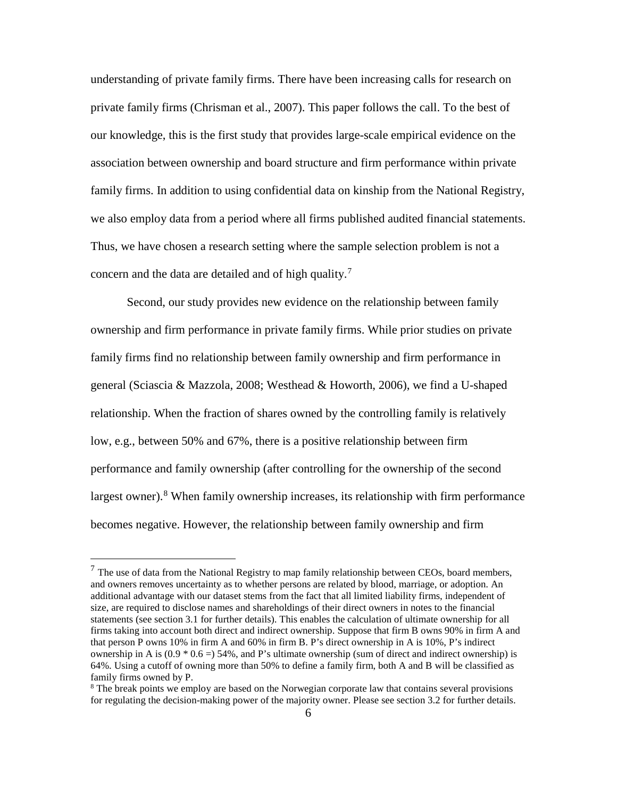understanding of private family firms. There have been increasing calls for research on private family firms (Chrisman et al., 2007). This paper follows the call. To the best of our knowledge, this is the first study that provides large-scale empirical evidence on the association between ownership and board structure and firm performance within private family firms. In addition to using confidential data on kinship from the National Registry, we also employ data from a period where all firms published audited financial statements. Thus, we have chosen a research setting where the sample selection problem is not a concern and the data are detailed and of high quality.<sup>[7](#page-7-0)</sup>

Second, our study provides new evidence on the relationship between family ownership and firm performance in private family firms. While prior studies on private family firms find no relationship between family ownership and firm performance in general (Sciascia & Mazzola, 2008; Westhead & Howorth, 2006), we find a U-shaped relationship. When the fraction of shares owned by the controlling family is relatively low, e.g., between 50% and 67%, there is a positive relationship between firm performance and family ownership (after controlling for the ownership of the second largest owner).<sup>[8](#page-7-1)</sup> When family ownership increases, its relationship with firm performance becomes negative. However, the relationship between family ownership and firm

<span id="page-7-0"></span> $<sup>7</sup>$  The use of data from the National Registry to map family relationship between CEOs, board members,</sup> and owners removes uncertainty as to whether persons are related by blood, marriage, or adoption. An additional advantage with our dataset stems from the fact that all limited liability firms, independent of size, are required to disclose names and shareholdings of their direct owners in notes to the financial statements (see section 3.1 for further details). This enables the calculation of ultimate ownership for all firms taking into account both direct and indirect ownership. Suppose that firm B owns 90% in firm A and that person P owns 10% in firm A and 60% in firm B. P's direct ownership in A is 10%, P's indirect ownership in A is  $(0.9 * 0.6 = 54\%$ , and P's ultimate ownership (sum of direct and indirect ownership) is 64%. Using a cutoff of owning more than 50% to define a family firm, both A and B will be classified as family firms owned by P.

<span id="page-7-1"></span><sup>&</sup>lt;sup>8</sup> The break points we employ are based on the Norwegian corporate law that contains several provisions for regulating the decision-making power of the majority owner. Please see section 3.2 for further details.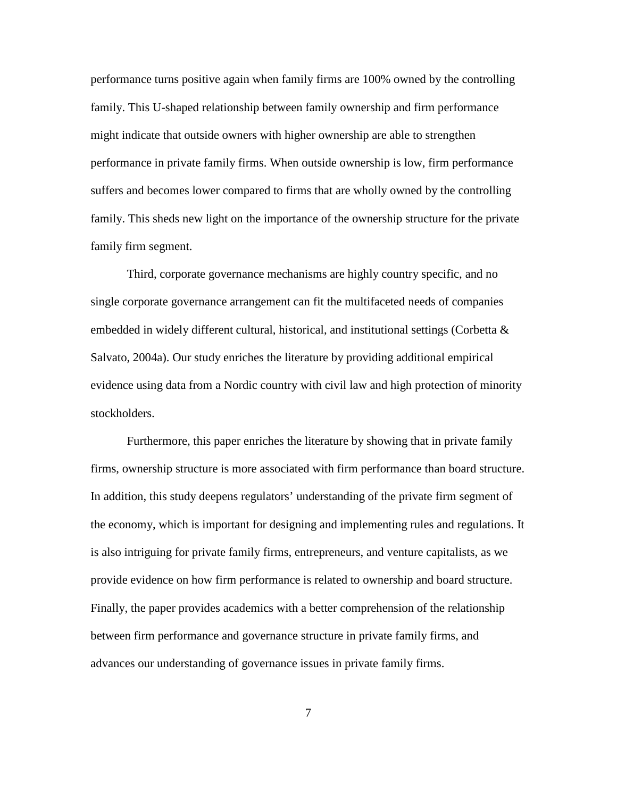performance turns positive again when family firms are 100% owned by the controlling family. This U-shaped relationship between family ownership and firm performance might indicate that outside owners with higher ownership are able to strengthen performance in private family firms. When outside ownership is low, firm performance suffers and becomes lower compared to firms that are wholly owned by the controlling family. This sheds new light on the importance of the ownership structure for the private family firm segment.

Third, corporate governance mechanisms are highly country specific, and no single corporate governance arrangement can fit the multifaceted needs of companies embedded in widely different cultural, historical, and institutional settings (Corbetta  $\&$ Salvato, 2004a). Our study enriches the literature by providing additional empirical evidence using data from a Nordic country with civil law and high protection of minority stockholders.

Furthermore, this paper enriches the literature by showing that in private family firms, ownership structure is more associated with firm performance than board structure. In addition, this study deepens regulators' understanding of the private firm segment of the economy, which is important for designing and implementing rules and regulations. It is also intriguing for private family firms, entrepreneurs, and venture capitalists, as we provide evidence on how firm performance is related to ownership and board structure. Finally, the paper provides academics with a better comprehension of the relationship between firm performance and governance structure in private family firms, and advances our understanding of governance issues in private family firms.

7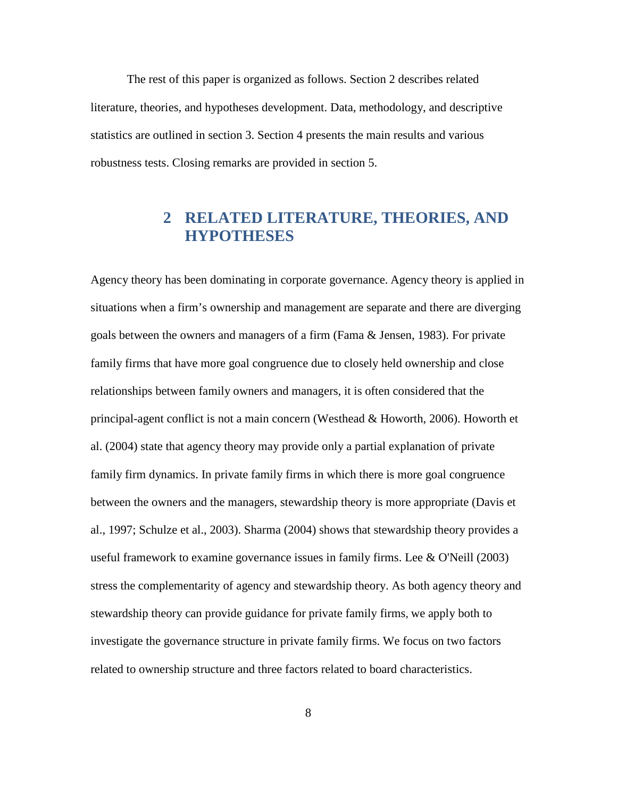The rest of this paper is organized as follows. Section 2 describes related literature, theories, and hypotheses development. Data, methodology, and descriptive statistics are outlined in section 3. Section 4 presents the main results and various robustness tests. Closing remarks are provided in section 5.

# **2 RELATED LITERATURE, THEORIES, AND HYPOTHESES**

Agency theory has been dominating in corporate governance. Agency theory is applied in situations when a firm's ownership and management are separate and there are diverging goals between the owners and managers of a firm (Fama & Jensen, 1983). For private family firms that have more goal congruence due to closely held ownership and close relationships between family owners and managers, it is often considered that the principal-agent conflict is not a main concern (Westhead & Howorth, 2006). Howorth et al. (2004) state that agency theory may provide only a partial explanation of private family firm dynamics. In private family firms in which there is more goal congruence between the owners and the managers, stewardship theory is more appropriate (Davis et al., 1997; Schulze et al., 2003). Sharma (2004) shows that stewardship theory provides a useful framework to examine governance issues in family firms. Lee & O'Neill (2003) stress the complementarity of agency and stewardship theory. As both agency theory and stewardship theory can provide guidance for private family firms, we apply both to investigate the governance structure in private family firms. We focus on two factors related to ownership structure and three factors related to board characteristics.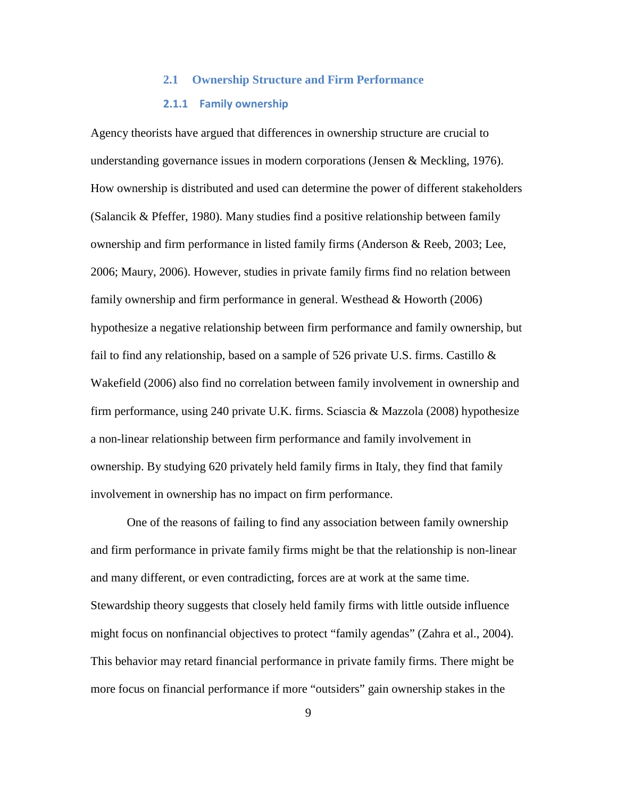# **2.1 Ownership Structure and Firm Performance 2.1.1 Family ownership**

Agency theorists have argued that differences in ownership structure are crucial to understanding governance issues in modern corporations (Jensen & Meckling, 1976). How ownership is distributed and used can determine the power of different stakeholders (Salancik & Pfeffer, 1980). Many studies find a positive relationship between family ownership and firm performance in listed family firms (Anderson & Reeb, 2003; Lee, 2006; Maury, 2006). However, studies in private family firms find no relation between family ownership and firm performance in general. Westhead & Howorth (2006) hypothesize a negative relationship between firm performance and family ownership, but fail to find any relationship, based on a sample of 526 private U.S. firms. Castillo  $\&$ Wakefield (2006) also find no correlation between family involvement in ownership and firm performance, using 240 private U.K. firms. Sciascia & Mazzola (2008) hypothesize a non-linear relationship between firm performance and family involvement in ownership. By studying 620 privately held family firms in Italy, they find that family involvement in ownership has no impact on firm performance.

One of the reasons of failing to find any association between family ownership and firm performance in private family firms might be that the relationship is non-linear and many different, or even contradicting, forces are at work at the same time. Stewardship theory suggests that closely held family firms with little outside influence might focus on nonfinancial objectives to protect "family agendas" (Zahra et al., 2004). This behavior may retard financial performance in private family firms. There might be more focus on financial performance if more "outsiders" gain ownership stakes in the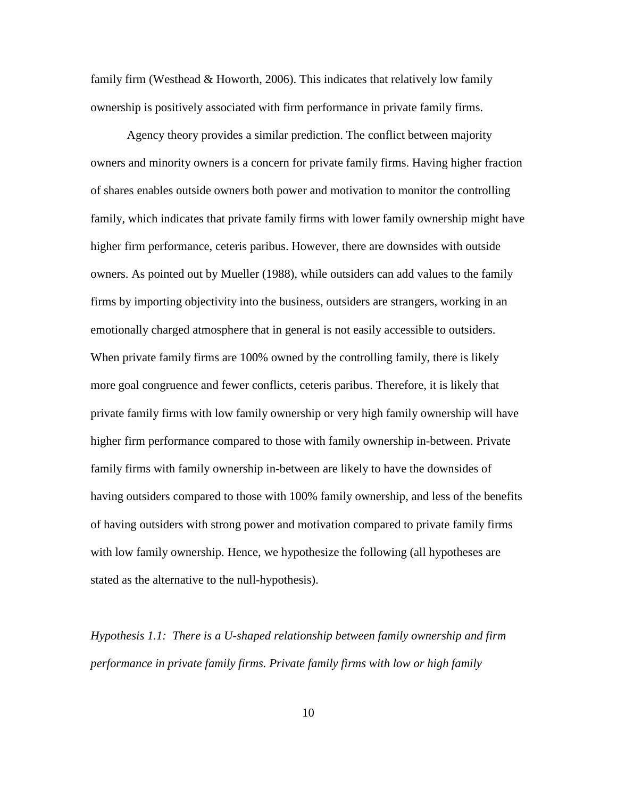family firm (Westhead & Howorth, 2006). This indicates that relatively low family ownership is positively associated with firm performance in private family firms.

Agency theory provides a similar prediction. The conflict between majority owners and minority owners is a concern for private family firms. Having higher fraction of shares enables outside owners both power and motivation to monitor the controlling family, which indicates that private family firms with lower family ownership might have higher firm performance, ceteris paribus. However, there are downsides with outside owners. As pointed out by Mueller (1988), while outsiders can add values to the family firms by importing objectivity into the business, outsiders are strangers, working in an emotionally charged atmosphere that in general is not easily accessible to outsiders. When private family firms are 100% owned by the controlling family, there is likely more goal congruence and fewer conflicts, ceteris paribus. Therefore, it is likely that private family firms with low family ownership or very high family ownership will have higher firm performance compared to those with family ownership in-between. Private family firms with family ownership in-between are likely to have the downsides of having outsiders compared to those with 100% family ownership, and less of the benefits of having outsiders with strong power and motivation compared to private family firms with low family ownership. Hence, we hypothesize the following (all hypotheses are stated as the alternative to the null-hypothesis).

*Hypothesis 1.1: There is a U-shaped relationship between family ownership and firm performance in private family firms. Private family firms with low or high family*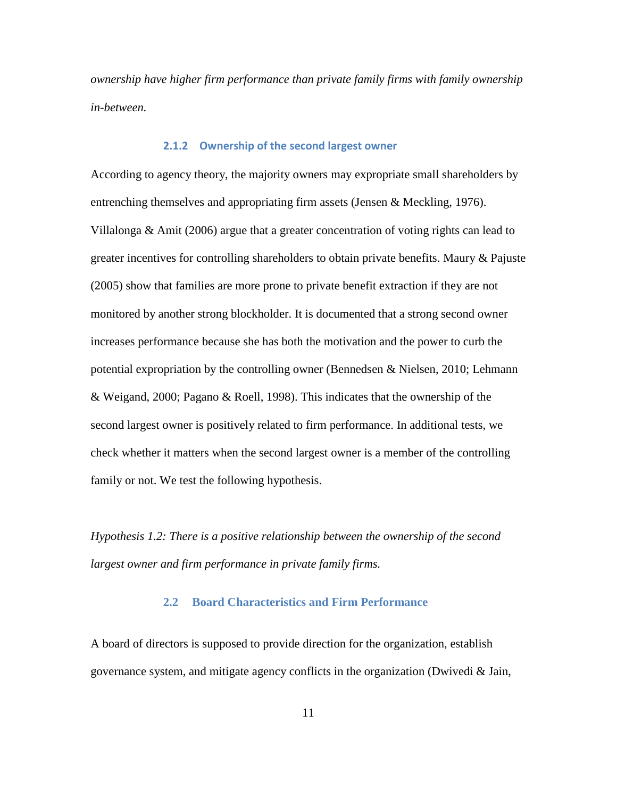*ownership have higher firm performance than private family firms with family ownership in-between.*

#### **2.1.2 Ownership of the second largest owner**

According to agency theory, the majority owners may expropriate small shareholders by entrenching themselves and appropriating firm assets (Jensen & Meckling, 1976). Villalonga & Amit (2006) argue that a greater concentration of voting rights can lead to greater incentives for controlling shareholders to obtain private benefits. Maury & Pajuste (2005) show that families are more prone to private benefit extraction if they are not monitored by another strong blockholder. It is documented that a strong second owner increases performance because she has both the motivation and the power to curb the potential expropriation by the controlling owner (Bennedsen & Nielsen, 2010; Lehmann & Weigand, 2000; Pagano & Roell, 1998). This indicates that the ownership of the second largest owner is positively related to firm performance. In additional tests, we check whether it matters when the second largest owner is a member of the controlling family or not. We test the following hypothesis.

*Hypothesis 1.2: There is a positive relationship between the ownership of the second largest owner and firm performance in private family firms.*

#### **2.2 Board Characteristics and Firm Performance**

A board of directors is supposed to provide direction for the organization, establish governance system, and mitigate agency conflicts in the organization (Dwivedi  $\&$  Jain,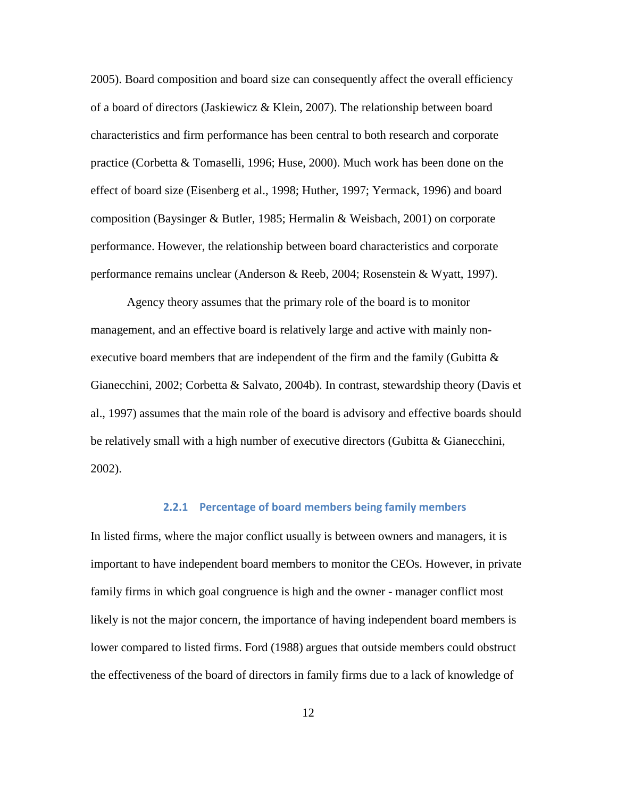2005). Board composition and board size can consequently affect the overall efficiency of a board of directors (Jaskiewicz & Klein, 2007). The relationship between board characteristics and firm performance has been central to both research and corporate practice (Corbetta & Tomaselli, 1996; Huse, 2000). Much work has been done on the effect of board size (Eisenberg et al., 1998; Huther, 1997; Yermack, 1996) and board composition (Baysinger & Butler, 1985; Hermalin & Weisbach, 2001) on corporate performance. However, the relationship between board characteristics and corporate performance remains unclear (Anderson & Reeb, 2004; Rosenstein & Wyatt, 1997).

Agency theory assumes that the primary role of the board is to monitor management, and an effective board is relatively large and active with mainly nonexecutive board members that are independent of the firm and the family (Gubitta  $\&$ Gianecchini, 2002; Corbetta & Salvato, 2004b). In contrast, stewardship theory (Davis et al., 1997) assumes that the main role of the board is advisory and effective boards should be relatively small with a high number of executive directors (Gubitta & Gianecchini, 2002).

#### **2.2.1 Percentage of board members being family members**

In listed firms, where the major conflict usually is between owners and managers, it is important to have independent board members to monitor the CEOs. However, in private family firms in which goal congruence is high and the owner - manager conflict most likely is not the major concern, the importance of having independent board members is lower compared to listed firms. Ford (1988) argues that outside members could obstruct the effectiveness of the board of directors in family firms due to a lack of knowledge of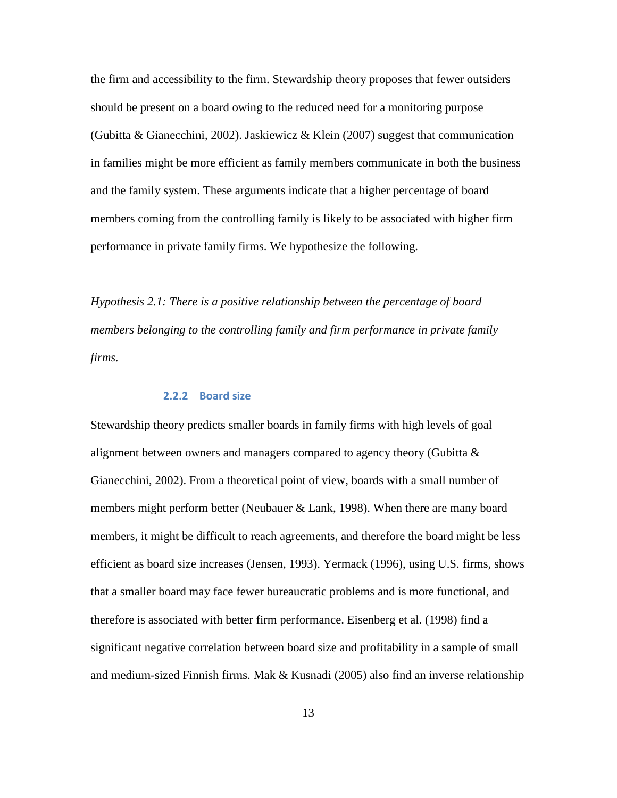the firm and accessibility to the firm. Stewardship theory proposes that fewer outsiders should be present on a board owing to the reduced need for a monitoring purpose (Gubitta & Gianecchini, 2002). Jaskiewicz & Klein (2007) suggest that communication in families might be more efficient as family members communicate in both the business and the family system. These arguments indicate that a higher percentage of board members coming from the controlling family is likely to be associated with higher firm performance in private family firms. We hypothesize the following.

*Hypothesis 2.1: There is a positive relationship between the percentage of board members belonging to the controlling family and firm performance in private family firms.*

#### **2.2.2 Board size**

Stewardship theory predicts smaller boards in family firms with high levels of goal alignment between owners and managers compared to agency theory (Gubitta  $\&$ Gianecchini, 2002). From a theoretical point of view, boards with a small number of members might perform better (Neubauer & Lank, 1998). When there are many board members, it might be difficult to reach agreements, and therefore the board might be less efficient as board size increases (Jensen, 1993). Yermack (1996), using U.S. firms, shows that a smaller board may face fewer bureaucratic problems and is more functional, and therefore is associated with better firm performance. Eisenberg et al. (1998) find a significant negative correlation between board size and profitability in a sample of small and medium-sized Finnish firms. Mak & Kusnadi (2005) also find an inverse relationship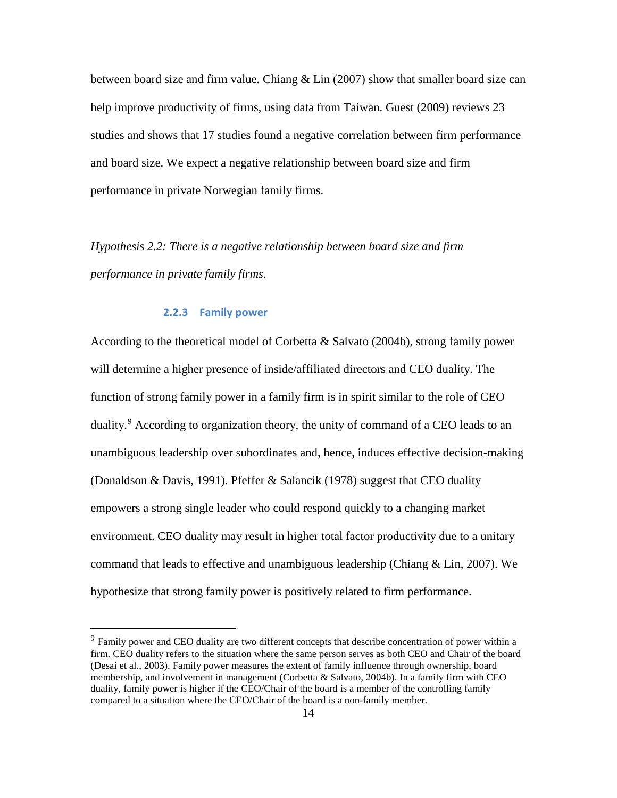between board size and firm value. Chiang  $&$  Lin (2007) show that smaller board size can help improve productivity of firms, using data from Taiwan. Guest (2009) reviews 23 studies and shows that 17 studies found a negative correlation between firm performance and board size. We expect a negative relationship between board size and firm performance in private Norwegian family firms.

*Hypothesis 2.2: There is a negative relationship between board size and firm performance in private family firms.*

#### **2.2.3 Family power**

According to the theoretical model of Corbetta & Salvato (2004b), strong family power will determine a higher presence of inside/affiliated directors and CEO duality. The function of strong family power in a family firm is in spirit similar to the role of CEO duality.<sup>[9](#page-15-0)</sup> According to organization theory, the unity of command of a CEO leads to an unambiguous leadership over subordinates and, hence, induces effective decision-making (Donaldson & Davis, 1991). Pfeffer & Salancik (1978) suggest that CEO duality empowers a strong single leader who could respond quickly to a changing market environment. CEO duality may result in higher total factor productivity due to a unitary command that leads to effective and unambiguous leadership (Chiang & Lin, 2007). We hypothesize that strong family power is positively related to firm performance.

<span id="page-15-0"></span><sup>&</sup>lt;sup>9</sup> Family power and CEO duality are two different concepts that describe concentration of power within a firm. CEO duality refers to the situation where the same person serves as both CEO and Chair of the board (Desai et al., 2003). Family power measures the extent of family influence through ownership, board membership, and involvement in management (Corbetta & Salvato, 2004b). In a family firm with CEO duality, family power is higher if the CEO/Chair of the board is a member of the controlling family compared to a situation where the CEO/Chair of the board is a non-family member.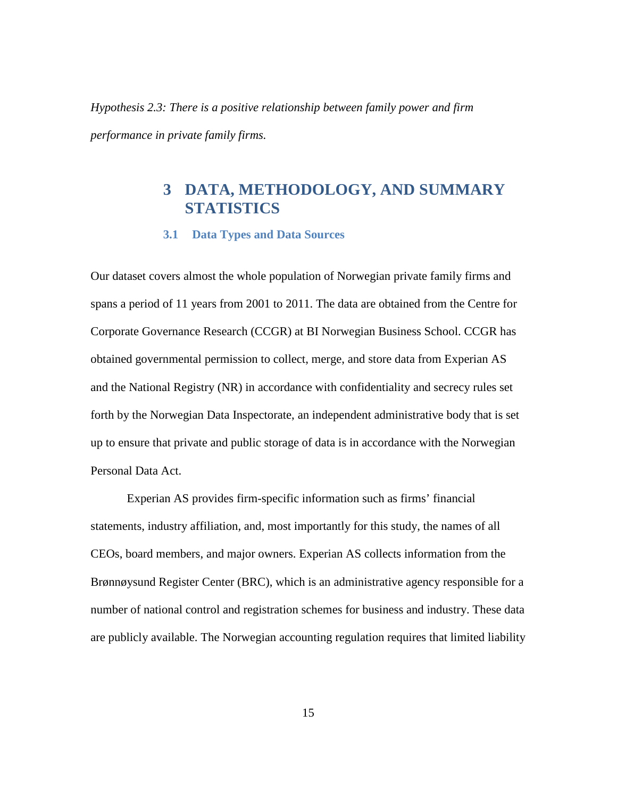*Hypothesis 2.3: There is a positive relationship between family power and firm performance in private family firms.*

# **3 DATA, METHODOLOGY, AND SUMMARY STATISTICS**

#### **3.1 Data Types and Data Sources**

Our dataset covers almost the whole population of Norwegian private family firms and spans a period of 11 years from 2001 to 2011. The data are obtained from the Centre for Corporate Governance Research (CCGR) at BI Norwegian Business School. CCGR has obtained governmental permission to collect, merge, and store data from Experian AS and the National Registry (NR) in accordance with confidentiality and secrecy rules set forth by the Norwegian Data Inspectorate, an independent administrative body that is set up to ensure that private and public storage of data is in accordance with the Norwegian Personal Data Act.

Experian AS provides firm-specific information such as firms' financial statements, industry affiliation, and, most importantly for this study, the names of all CEOs, board members, and major owners. Experian AS collects information from the Brønnøysund Register Center (BRC), which is an administrative agency responsible for a number of national control and registration schemes for business and industry. These data are publicly available. The Norwegian accounting regulation requires that limited liability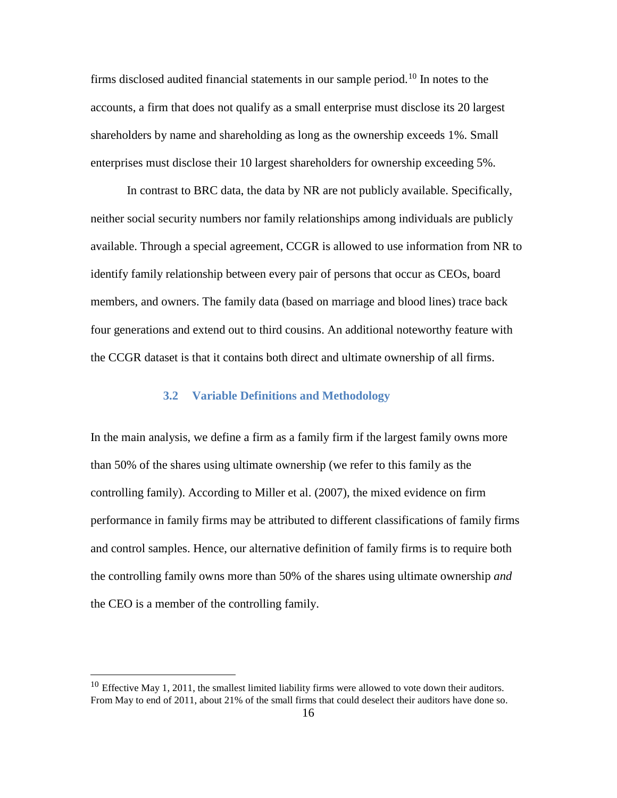firms disclosed audited financial statements in our sample period.<sup>[10](#page-17-0)</sup> In notes to the accounts, a firm that does not qualify as a small enterprise must disclose its 20 largest shareholders by name and shareholding as long as the ownership exceeds 1%. Small enterprises must disclose their 10 largest shareholders for ownership exceeding 5%.

In contrast to BRC data, the data by NR are not publicly available. Specifically, neither social security numbers nor family relationships among individuals are publicly available. Through a special agreement, CCGR is allowed to use information from NR to identify family relationship between every pair of persons that occur as CEOs, board members, and owners. The family data (based on marriage and blood lines) trace back four generations and extend out to third cousins. An additional noteworthy feature with the CCGR dataset is that it contains both direct and ultimate ownership of all firms.

#### **3.2 Variable Definitions and Methodology**

In the main analysis, we define a firm as a family firm if the largest family owns more than 50% of the shares using ultimate ownership (we refer to this family as the controlling family). According to Miller et al. (2007), the mixed evidence on firm performance in family firms may be attributed to different classifications of family firms and control samples. Hence, our alternative definition of family firms is to require both the controlling family owns more than 50% of the shares using ultimate ownership *and* the CEO is a member of the controlling family.

<span id="page-17-0"></span><sup>&</sup>lt;sup>10</sup> Effective May 1, 2011, the smallest limited liability firms were allowed to vote down their auditors. From May to end of 2011, about 21% of the small firms that could deselect their auditors have done so.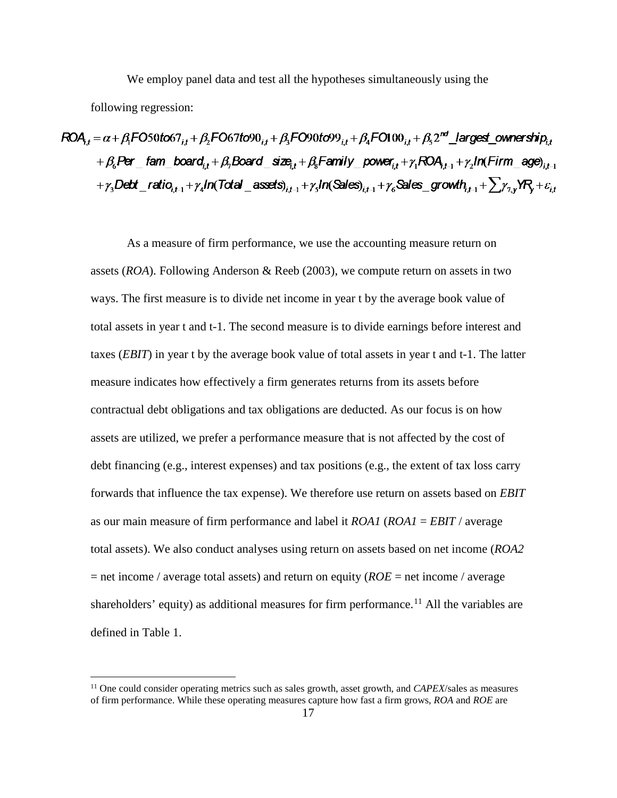We employ panel data and test all the hypotheses simultaneously using the

following regression:

$$
ROA_{j,t} = \alpha + \beta_1 F050 \text{to} 67_{j,t} + \beta_2 F067 \text{to} 90_{j,t} + \beta_3 F090 \text{to} 99_{j,t} + \beta_4 F0100_{j,t} + \beta_5 2^{nd} \text{ \_largest\_ownership}_{j,t} + \beta_6 Per \text{ \_ fam\_board}_{j,t} + \beta_7 Board \text{ \_ size}_{j,t} + \beta_8 Family \text{ \_ power}_{j,t} + \gamma_1 ROA_{j,t-1} + \gamma_2 In (Firm \_\_ age)_{j,t-1} + \gamma_3 Det \text{ \_ ratio}_{j,t-1} + \gamma_4 In (Total \_\_ assets)_{j,t-1} + \gamma_5 In (Sales)_{j,t-1} + \gamma_6 Sales \text{ \_ growth}_{j,t-1} + \sum \gamma_{\gamma,y} N_Y + \varepsilon_{j,t}
$$

As a measure of firm performance, we use the accounting measure return on assets (*ROA*). Following Anderson & Reeb (2003), we compute return on assets in two ways. The first measure is to divide net income in year t by the average book value of total assets in year t and t-1. The second measure is to divide earnings before interest and taxes (*EBIT*) in year t by the average book value of total assets in year t and t-1. The latter measure indicates how effectively a firm generates returns from its assets before contractual debt obligations and tax obligations are deducted. As our focus is on how assets are utilized, we prefer a performance measure that is not affected by the cost of debt financing (e.g., interest expenses) and tax positions (e.g., the extent of tax loss carry forwards that influence the tax expense). We therefore use return on assets based on *EBIT* as our main measure of firm performance and label it *ROA1* (*ROA1* = *EBIT* / average total assets). We also conduct analyses using return on assets based on net income (*ROA2*  $=$  net income / average total assets) and return on equity (*ROE* = net income / average shareholders' equity) as additional measures for firm performance.<sup>[11](#page-18-0)</sup> All the variables are defined in Table 1.

<span id="page-18-0"></span> <sup>11</sup> One could consider operating metrics such as sales growth, asset growth, and *CAPEX*/sales as measures of firm performance. While these operating measures capture how fast a firm grows, *ROA* and *ROE* are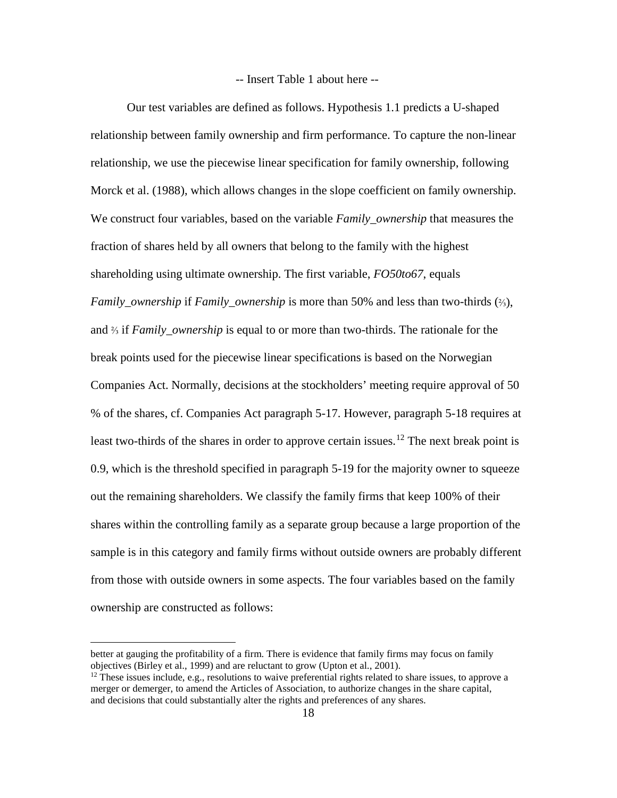-- Insert Table 1 about here --

Our test variables are defined as follows. Hypothesis 1.1 predicts a U-shaped relationship between family ownership and firm performance. To capture the non-linear relationship, we use the piecewise linear specification for family ownership, following Morck et al. (1988), which allows changes in the slope coefficient on family ownership. We construct four variables, based on the variable *Family\_ownership* that measures the fraction of shares held by all owners that belong to the family with the highest shareholding using ultimate ownership. The first variable, *FO50to67*, equals *Family\_ownership* if *Family\_ownership* is more than 50% and less than two-thirds (⅔), and ⅔ if *Family\_ownership* is equal to or more than two-thirds. The rationale for the break points used for the piecewise linear specifications is based on the Norwegian Companies Act. Normally, decisions at the stockholders' meeting require approval of 50 % of the shares, cf. Companies Act paragraph 5-17. However, paragraph 5-18 requires at least two-thirds of the shares in order to approve certain issues.<sup>[12](#page-19-0)</sup> The next break point is 0.9, which is the threshold specified in paragraph 5-19 for the majority owner to squeeze out the remaining shareholders. We classify the family firms that keep 100% of their shares within the controlling family as a separate group because a large proportion of the sample is in this category and family firms without outside owners are probably different from those with outside owners in some aspects. The four variables based on the family ownership are constructed as follows:

 $\overline{a}$ 

better at gauging the profitability of a firm. There is evidence that family firms may focus on family objectives (Birley et al., 1999) and are reluctant to grow (Upton et al., 2001).

<span id="page-19-0"></span> $12$  These issues include, e.g., resolutions to waive preferential rights related to share issues, to approve a merger or demerger, to amend the Articles of Association, to authorize changes in the share capital, and decisions that could substantially alter the rights and preferences of any shares.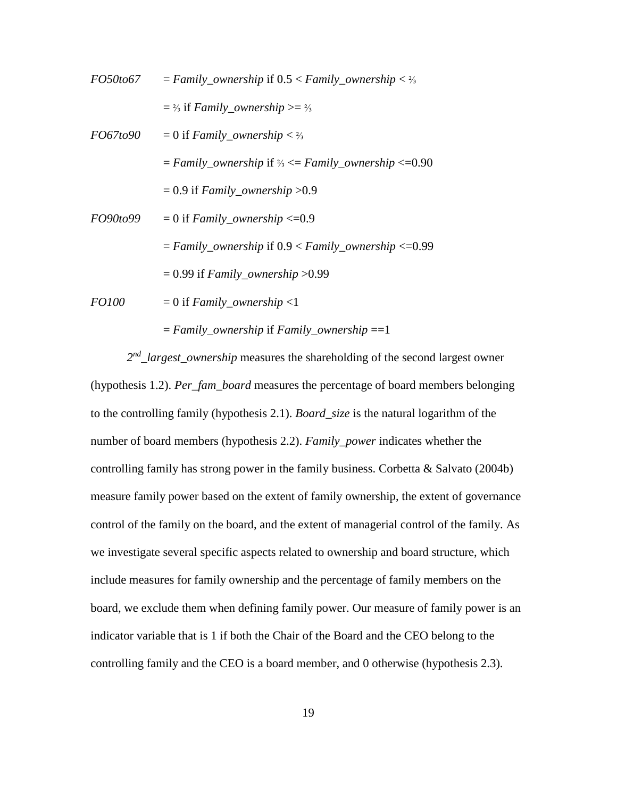| <i>FO50to67</i> | $= Family\_ownership$ if $0.5 < Family_ownership < 2/3$                 |
|-----------------|-------------------------------------------------------------------------|
|                 | $=$ 2/3 if Family_ownership >= 2/3                                      |
| <i>FO67to90</i> | $= 0$ if <i>Family_ownership</i> < $\frac{2}{3}$                        |
|                 | $= Family\_ownership$ if $\frac{2}{3} \leq Family\_ownership \leq 0.90$ |
|                 | $= 0.9$ if Family_ownership > 0.9                                       |
| <i>FO90to99</i> | $= 0$ if <i>Family_ownership</i> <= 0.9                                 |
|                 | $= Family\_ownership$ if $0.9 < Family_ownership < 0.99$                |
|                 | $= 0.99$ if Family_ownership > 0.99                                     |
| <i>FO100</i>    | $= 0$ if <i>Family_ownership</i> <1                                     |
|                 |                                                                         |

= *Family\_ownership* if *Family\_ownership* ==1

*2nd\_largest\_ownership* measures the shareholding of the second largest owner (hypothesis 1.2). *Per\_fam\_board* measures the percentage of board members belonging to the controlling family (hypothesis 2.1). *Board\_size* is the natural logarithm of the number of board members (hypothesis 2.2). *Family\_power* indicates whether the controlling family has strong power in the family business. Corbetta & Salvato (2004b) measure family power based on the extent of family ownership, the extent of governance control of the family on the board, and the extent of managerial control of the family. As we investigate several specific aspects related to ownership and board structure, which include measures for family ownership and the percentage of family members on the board, we exclude them when defining family power. Our measure of family power is an indicator variable that is 1 if both the Chair of the Board and the CEO belong to the controlling family and the CEO is a board member, and 0 otherwise (hypothesis 2.3).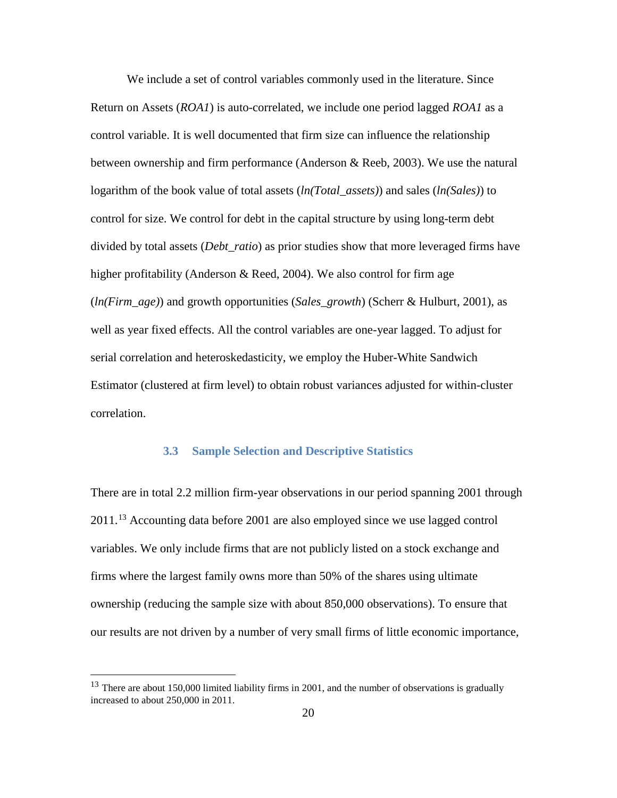We include a set of control variables commonly used in the literature. Since Return on Assets (*ROA1*) is auto-correlated, we include one period lagged *ROA1* as a control variable. It is well documented that firm size can influence the relationship between ownership and firm performance (Anderson & Reeb, 2003). We use the natural logarithm of the book value of total assets (*ln(Total\_assets)*) and sales (*ln(Sales)*) to control for size. We control for debt in the capital structure by using long-term debt divided by total assets (*Debt\_ratio*) as prior studies show that more leveraged firms have higher profitability (Anderson & Reed, 2004). We also control for firm age (*ln(Firm\_age)*) and growth opportunities (*Sales\_growth*) (Scherr & Hulburt, 2001), as well as year fixed effects. All the control variables are one-year lagged. To adjust for serial correlation and heteroskedasticity, we employ the Huber-White Sandwich Estimator (clustered at firm level) to obtain robust variances adjusted for within-cluster correlation.

#### **3.3 Sample Selection and Descriptive Statistics**

There are in total 2.2 million firm-year observations in our period spanning 2001 through 2011.[13](#page-21-0) Accounting data before 2001 are also employed since we use lagged control variables. We only include firms that are not publicly listed on a stock exchange and firms where the largest family owns more than 50% of the shares using ultimate ownership (reducing the sample size with about 850,000 observations). To ensure that our results are not driven by a number of very small firms of little economic importance,

<span id="page-21-0"></span><sup>&</sup>lt;sup>13</sup> There are about 150,000 limited liability firms in 2001, and the number of observations is gradually increased to about 250,000 in 2011.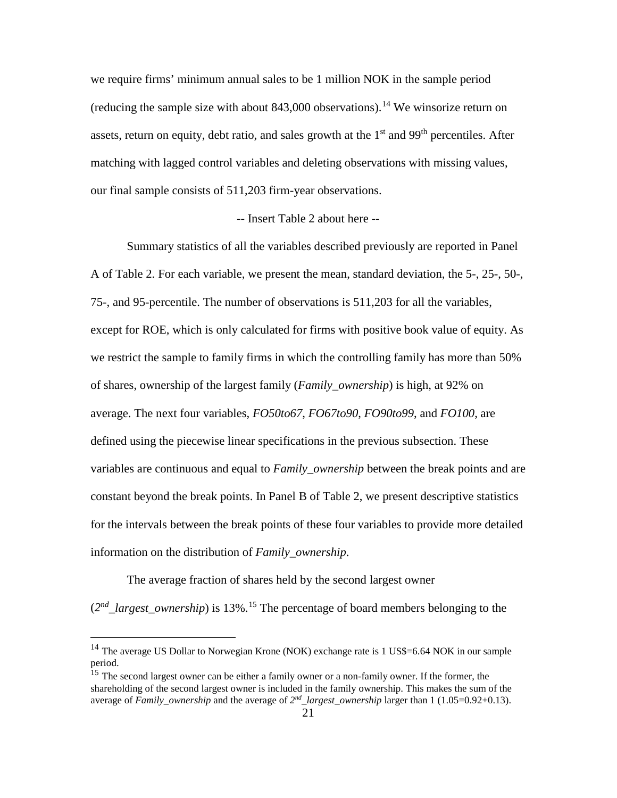we require firms' minimum annual sales to be 1 million NOK in the sample period (reducing the sample size with about  $843,000$  observations).<sup>[14](#page-22-0)</sup> We winsorize return on assets, return on equity, debt ratio, and sales growth at the  $1<sup>st</sup>$  and  $99<sup>th</sup>$  percentiles. After matching with lagged control variables and deleting observations with missing values, our final sample consists of 511,203 firm-year observations.

#### -- Insert Table 2 about here --

Summary statistics of all the variables described previously are reported in Panel A of Table 2. For each variable, we present the mean, standard deviation, the 5-, 25-, 50-, 75-, and 95-percentile. The number of observations is 511,203 for all the variables, except for ROE, which is only calculated for firms with positive book value of equity. As we restrict the sample to family firms in which the controlling family has more than 50% of shares, ownership of the largest family (*Family\_ownership*) is high, at 92% on average. The next four variables, *FO50to67*, *FO67to90*, *FO90to99*, and *FO100*, are defined using the piecewise linear specifications in the previous subsection. These variables are continuous and equal to *Family\_ownership* between the break points and are constant beyond the break points. In Panel B of Table 2, we present descriptive statistics for the intervals between the break points of these four variables to provide more detailed information on the distribution of *Family\_ownership*.

The average fraction of shares held by the second largest owner  $(2<sup>nd</sup>_{\text{L}^{1}}{a_{\text{r}}})$  *argest\_ownership*) is 13%.<sup>[15](#page-22-1)</sup> The percentage of board members belonging to the

<span id="page-22-0"></span><sup>&</sup>lt;sup>14</sup> The average US Dollar to Norwegian Krone (NOK) exchange rate is 1 US\$=6.64 NOK in our sample period.

<span id="page-22-1"></span><sup>&</sup>lt;sup>15</sup> The second largest owner can be either a family owner or a non-family owner. If the former, the shareholding of the second largest owner is included in the family ownership. This makes the sum of the average of *Family\_ownership* and the average of *2nd\_largest\_ownership* larger than 1 (1.05=0.92+0.13).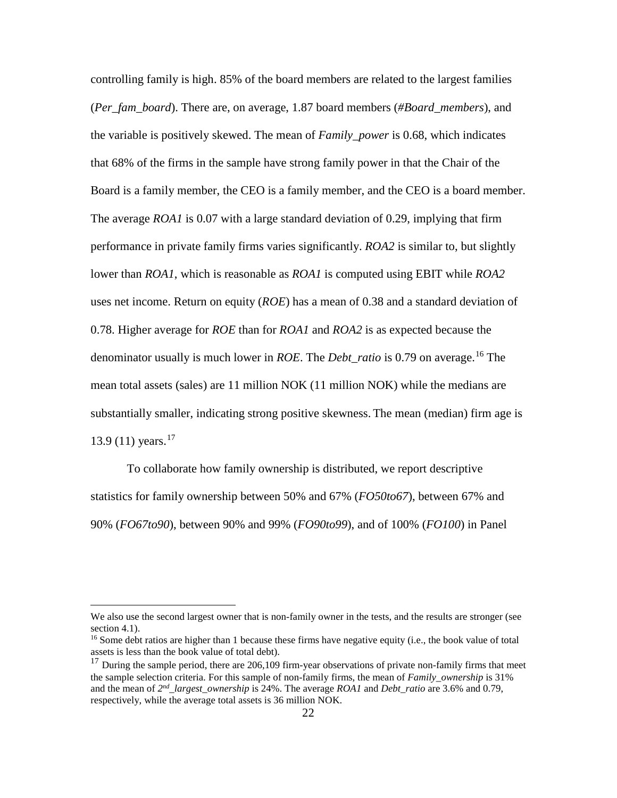controlling family is high. 85% of the board members are related to the largest families (*Per\_fam\_board*). There are, on average, 1.87 board members (*#Board\_members*), and the variable is positively skewed. The mean of *Family\_power* is 0.68, which indicates that 68% of the firms in the sample have strong family power in that the Chair of the Board is a family member, the CEO is a family member, and the CEO is a board member. The average *ROA1* is 0.07 with a large standard deviation of 0.29, implying that firm performance in private family firms varies significantly. *ROA2* is similar to, but slightly lower than *ROA1*, which is reasonable as *ROA1* is computed using EBIT while *ROA2*  uses net income. Return on equity (*ROE*) has a mean of 0.38 and a standard deviation of 0.78. Higher average for *ROE* than for *ROA1* and *ROA2* is as expected because the denominator usually is much lower in *ROE*. The *Debt\_ratio* is 0.79 on average.[16](#page-23-0) The mean total assets (sales) are 11 million NOK (11 million NOK) while the medians are substantially smaller, indicating strong positive skewness. The mean (median) firm age is 13.9 (11) years.<sup>[17](#page-23-1)</sup>

To collaborate how family ownership is distributed, we report descriptive statistics for family ownership between 50% and 67% (*FO50to67*), between 67% and 90% (*FO67to90*), between 90% and 99% (*FO90to99*), and of 100% (*FO100*) in Panel

We also use the second largest owner that is non-family owner in the tests, and the results are stronger (see section [4.1\)](#page-25-0).

<span id="page-23-0"></span><sup>&</sup>lt;sup>16</sup> Some debt ratios are higher than 1 because these firms have negative equity (i.e., the book value of total assets is less than the book value of total debt).

<span id="page-23-1"></span><sup>&</sup>lt;sup>17</sup> During the sample period, there are 206,109 firm-year observations of private non-family firms that meet the sample selection criteria. For this sample of non-family firms, the mean of *Family\_ownership* is 31% and the mean of *2nd\_largest\_ownership* is 24%. The average *ROA1* and *Debt\_ratio* are 3.6% and 0.79, respectively, while the average total assets is 36 million NOK.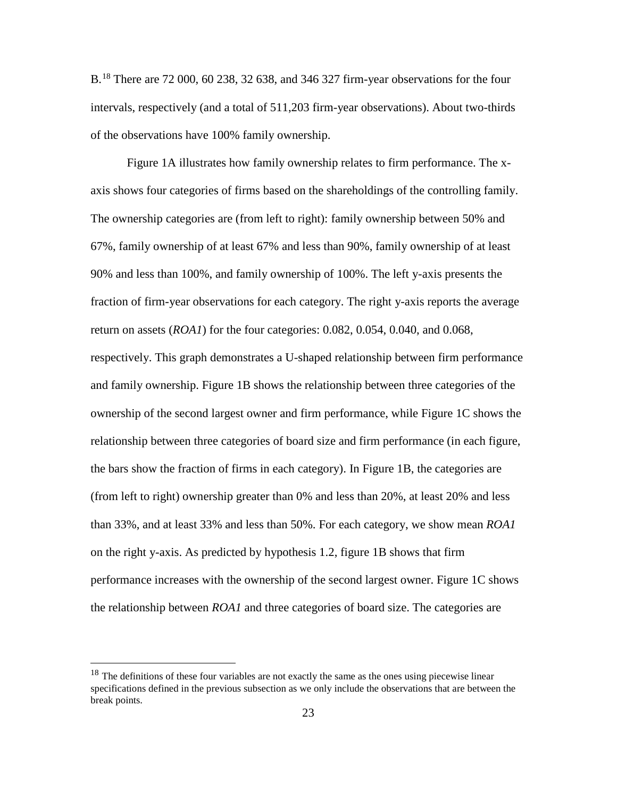B.<sup>[18](#page-24-0)</sup> There are 72 000, 60 238, 32 638, and 346 327 firm-year observations for the four intervals, respectively (and a total of 511,203 firm-year observations). About two-thirds of the observations have 100% family ownership.

Figure 1A illustrates how family ownership relates to firm performance. The xaxis shows four categories of firms based on the shareholdings of the controlling family. The ownership categories are (from left to right): family ownership between 50% and 67%, family ownership of at least 67% and less than 90%, family ownership of at least 90% and less than 100%, and family ownership of 100%. The left y-axis presents the fraction of firm-year observations for each category. The right y-axis reports the average return on assets (*ROA1*) for the four categories: 0.082, 0.054, 0.040, and 0.068, respectively. This graph demonstrates a U-shaped relationship between firm performance and family ownership. Figure 1B shows the relationship between three categories of the ownership of the second largest owner and firm performance, while Figure 1C shows the relationship between three categories of board size and firm performance (in each figure, the bars show the fraction of firms in each category). In Figure 1B, the categories are (from left to right) ownership greater than 0% and less than 20%, at least 20% and less than 33%, and at least 33% and less than 50%. For each category, we show mean *ROA1* on the right y-axis. As predicted by hypothesis 1.2, figure 1B shows that firm performance increases with the ownership of the second largest owner. Figure 1C shows the relationship between *ROA1* and three categories of board size. The categories are

<span id="page-24-0"></span><sup>&</sup>lt;sup>18</sup> The definitions of these four variables are not exactly the same as the ones using piecewise linear specifications defined in the previous subsection as we only include the observations that are between the break points.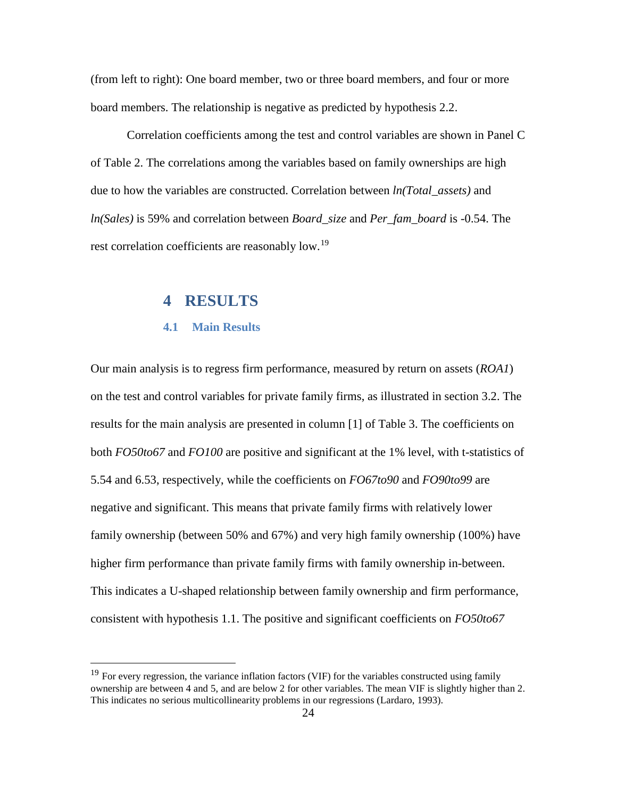(from left to right): One board member, two or three board members, and four or more board members. The relationship is negative as predicted by hypothesis 2.2.

Correlation coefficients among the test and control variables are shown in Panel C of Table 2. The correlations among the variables based on family ownerships are high due to how the variables are constructed. Correlation between *ln(Total\_assets)* and *ln(Sales)* is 59% and correlation between *Board\_size* and *Per\_fam\_board* is -0.54. The rest correlation coefficients are reasonably low.<sup>19</sup>

### **4 RESULTS**

#### **4.1 Main Results**

<span id="page-25-0"></span>Our main analysis is to regress firm performance, measured by return on assets (*ROA1*) on the test and control variables for private family firms, as illustrated in section 3.2. The results for the main analysis are presented in column [1] of Table 3. The coefficients on both *FO50to67* and *FO100* are positive and significant at the 1% level, with t-statistics of 5.54 and 6.53, respectively, while the coefficients on *FO67to90* and *FO90to99* are negative and significant. This means that private family firms with relatively lower family ownership (between 50% and 67%) and very high family ownership (100%) have higher firm performance than private family firms with family ownership in-between. This indicates a U-shaped relationship between family ownership and firm performance, consistent with hypothesis 1.1. The positive and significant coefficients on *FO50to67*

<span id="page-25-1"></span><sup>&</sup>lt;sup>19</sup> For every regression, the variance inflation factors (VIF) for the variables constructed using family ownership are between 4 and 5, and are below 2 for other variables. The mean VIF is slightly higher than 2. This indicates no serious multicollinearity problems in our regressions (Lardaro, 1993).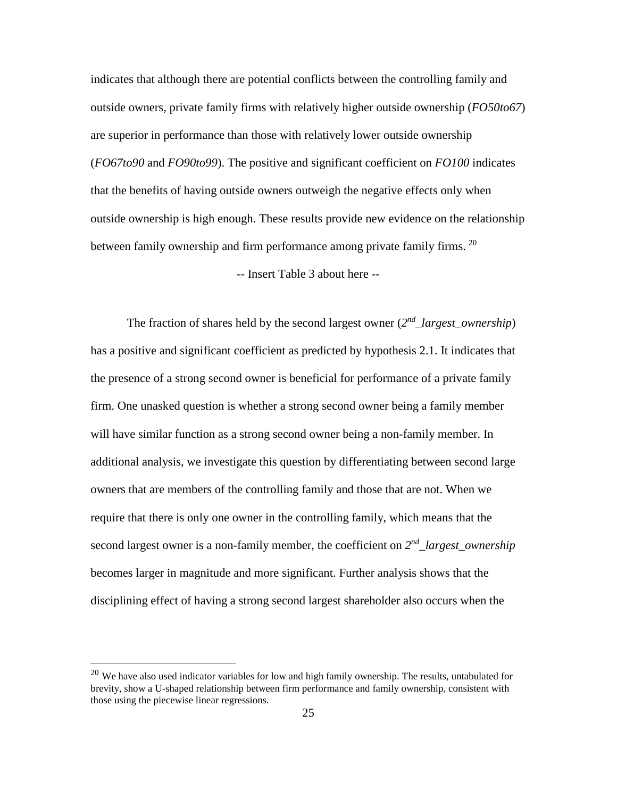indicates that although there are potential conflicts between the controlling family and outside owners, private family firms with relatively higher outside ownership (*FO50to67*) are superior in performance than those with relatively lower outside ownership (*FO67to90* and *FO90to99*). The positive and significant coefficient on *FO100* indicates that the benefits of having outside owners outweigh the negative effects only when outside ownership is high enough. These results provide new evidence on the relationship between family ownership and firm performance among private family firms. <sup>[20](#page-26-0)</sup>

-- Insert Table 3 about here --

The fraction of shares held by the second largest owner  $(2^{nd}$  *largest ownership*) has a positive and significant coefficient as predicted by hypothesis 2.1. It indicates that the presence of a strong second owner is beneficial for performance of a private family firm. One unasked question is whether a strong second owner being a family member will have similar function as a strong second owner being a non-family member. In additional analysis, we investigate this question by differentiating between second large owners that are members of the controlling family and those that are not. When we require that there is only one owner in the controlling family, which means that the second largest owner is a non-family member, the coefficient on *2nd\_largest\_ownership* becomes larger in magnitude and more significant. Further analysis shows that the disciplining effect of having a strong second largest shareholder also occurs when the

<span id="page-26-0"></span> $20$  We have also used indicator variables for low and high family ownership. The results, untabulated for brevity, show a U-shaped relationship between firm performance and family ownership, consistent with those using the piecewise linear regressions.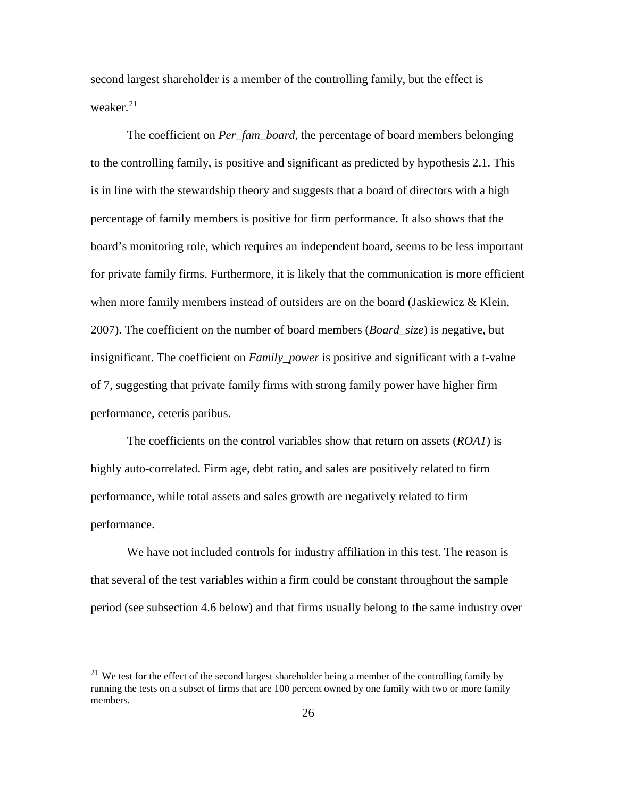second largest shareholder is a member of the controlling family, but the effect is weaker. $21$ 

The coefficient on *Per\_fam\_board*, the percentage of board members belonging to the controlling family, is positive and significant as predicted by hypothesis 2.1. This is in line with the stewardship theory and suggests that a board of directors with a high percentage of family members is positive for firm performance. It also shows that the board's monitoring role, which requires an independent board, seems to be less important for private family firms. Furthermore, it is likely that the communication is more efficient when more family members instead of outsiders are on the board (Jaskiewicz  $\&$  Klein, 2007). The coefficient on the number of board members (*Board\_size*) is negative, but insignificant. The coefficient on *Family\_power* is positive and significant with a t-value of 7, suggesting that private family firms with strong family power have higher firm performance, ceteris paribus.

The coefficients on the control variables show that return on assets (*ROA1*) is highly auto-correlated. Firm age, debt ratio, and sales are positively related to firm performance, while total assets and sales growth are negatively related to firm performance.

We have not included controls for industry affiliation in this test. The reason is that several of the test variables within a firm could be constant throughout the sample period (see subsection 4.6 below) and that firms usually belong to the same industry over

<span id="page-27-0"></span> $21$  We test for the effect of the second largest shareholder being a member of the controlling family by running the tests on a subset of firms that are 100 percent owned by one family with two or more family members.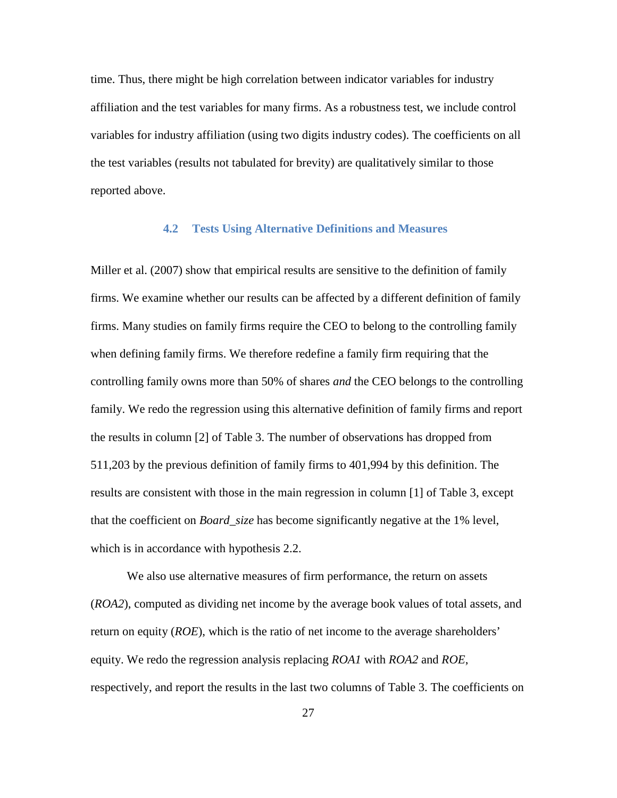time. Thus, there might be high correlation between indicator variables for industry affiliation and the test variables for many firms. As a robustness test, we include control variables for industry affiliation (using two digits industry codes). The coefficients on all the test variables (results not tabulated for brevity) are qualitatively similar to those reported above.

#### **4.2 Tests Using Alternative Definitions and Measures**

Miller et al. (2007) show that empirical results are sensitive to the definition of family firms. We examine whether our results can be affected by a different definition of family firms. Many studies on family firms require the CEO to belong to the controlling family when defining family firms. We therefore redefine a family firm requiring that the controlling family owns more than 50% of shares *and* the CEO belongs to the controlling family. We redo the regression using this alternative definition of family firms and report the results in column [2] of Table 3. The number of observations has dropped from 511,203 by the previous definition of family firms to 401,994 by this definition. The results are consistent with those in the main regression in column [1] of Table 3, except that the coefficient on *Board\_size* has become significantly negative at the 1% level, which is in accordance with hypothesis 2.2.

We also use alternative measures of firm performance, the return on assets (*ROA2*), computed as dividing net income by the average book values of total assets, and return on equity (*ROE*), which is the ratio of net income to the average shareholders' equity. We redo the regression analysis replacing *ROA1* with *ROA2* and *ROE*, respectively, and report the results in the last two columns of Table 3. The coefficients on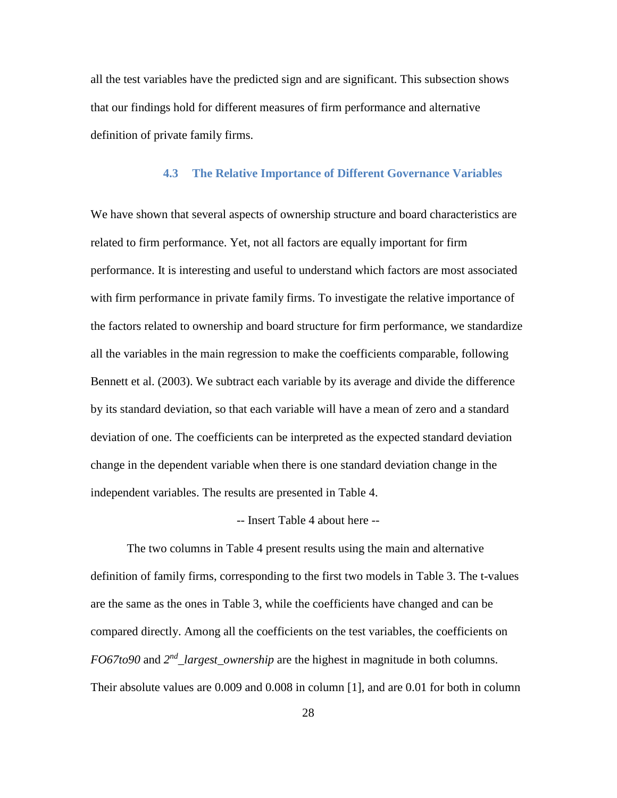all the test variables have the predicted sign and are significant. This subsection shows that our findings hold for different measures of firm performance and alternative definition of private family firms.

#### **4.3 The Relative Importance of Different Governance Variables**

We have shown that several aspects of ownership structure and board characteristics are related to firm performance. Yet, not all factors are equally important for firm performance. It is interesting and useful to understand which factors are most associated with firm performance in private family firms. To investigate the relative importance of the factors related to ownership and board structure for firm performance, we standardize all the variables in the main regression to make the coefficients comparable, following Bennett et al. (2003). We subtract each variable by its average and divide the difference by its standard deviation, so that each variable will have a mean of zero and a standard deviation of one. The coefficients can be interpreted as the expected standard deviation change in the dependent variable when there is one standard deviation change in the independent variables. The results are presented in Table 4.

#### -- Insert Table 4 about here --

The two columns in Table 4 present results using the main and alternative definition of family firms, corresponding to the first two models in Table 3. The t-values are the same as the ones in Table 3, while the coefficients have changed and can be compared directly. Among all the coefficients on the test variables, the coefficients on *FO67to90* and *2nd\_largest\_ownership* are the highest in magnitude in both columns. Their absolute values are 0.009 and 0.008 in column [1], and are 0.01 for both in column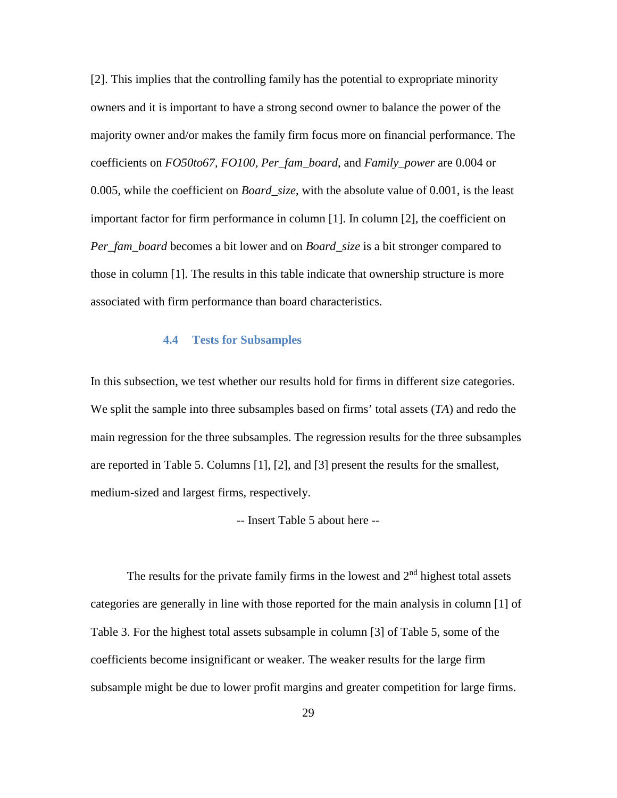[2]. This implies that the controlling family has the potential to expropriate minority owners and it is important to have a strong second owner to balance the power of the majority owner and/or makes the family firm focus more on financial performance. The coefficients on *FO50to67, FO100, Per\_fam\_board*, and *Family\_power* are 0.004 or 0.005, while the coefficient on *Board\_size*, with the absolute value of 0.001, is the least important factor for firm performance in column [1]. In column [2], the coefficient on *Per\_fam\_board* becomes a bit lower and on *Board\_size* is a bit stronger compared to those in column [1]. The results in this table indicate that ownership structure is more associated with firm performance than board characteristics.

#### **4.4 Tests for Subsamples**

In this subsection, we test whether our results hold for firms in different size categories. We split the sample into three subsamples based on firms' total assets (*TA*) and redo the main regression for the three subsamples. The regression results for the three subsamples are reported in Table 5. Columns [1], [2], and [3] present the results for the smallest, medium-sized and largest firms, respectively.

-- Insert Table 5 about here --

The results for the private family firms in the lowest and  $2<sup>nd</sup>$  highest total assets categories are generally in line with those reported for the main analysis in column [1] of Table 3. For the highest total assets subsample in column [3] of Table 5, some of the coefficients become insignificant or weaker. The weaker results for the large firm subsample might be due to lower profit margins and greater competition for large firms.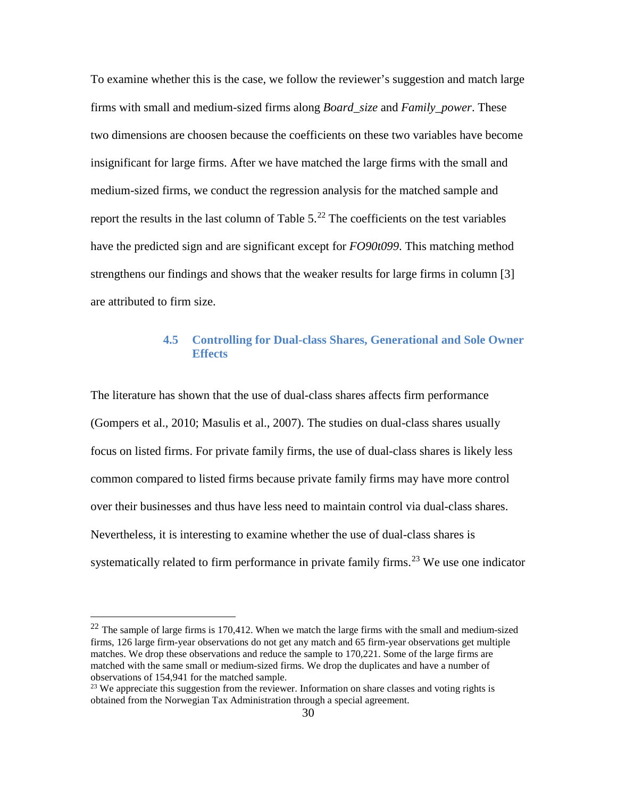To examine whether this is the case, we follow the reviewer's suggestion and match large firms with small and medium-sized firms along *Board\_size* and *Family\_power*. These two dimensions are choosen because the coefficients on these two variables have become insignificant for large firms. After we have matched the large firms with the small and medium-sized firms, we conduct the regression analysis for the matched sample and report the results in the last column of Table  $5.^{22}$  $5.^{22}$  $5.^{22}$  The coefficients on the test variables have the predicted sign and are significant except for *FO90t099*. This matching method strengthens our findings and shows that the weaker results for large firms in column [3] are attributed to firm size.

### **4.5 Controlling for Dual-class Shares, Generational and Sole Owner Effects**

The literature has shown that the use of dual-class shares affects firm performance (Gompers et al., 2010; Masulis et al., 2007). The studies on dual-class shares usually focus on listed firms. For private family firms, the use of dual-class shares is likely less common compared to listed firms because private family firms may have more control over their businesses and thus have less need to maintain control via dual-class shares. Nevertheless, it is interesting to examine whether the use of dual-class shares is systematically related to firm performance in private family firms.<sup>[23](#page-31-1)</sup> We use one indicator

<span id="page-31-0"></span> $22$  The sample of large firms is 170,412. When we match the large firms with the small and medium-sized firms, 126 large firm-year observations do not get any match and 65 firm-year observations get multiple matches. We drop these observations and reduce the sample to 170,221. Some of the large firms are matched with the same small or medium-sized firms. We drop the duplicates and have a number of observations of 154,941 for the matched sample.

<span id="page-31-1"></span> $^{23}$  We appreciate this suggestion from the reviewer. Information on share classes and voting rights is obtained from the Norwegian Tax Administration through a special agreement.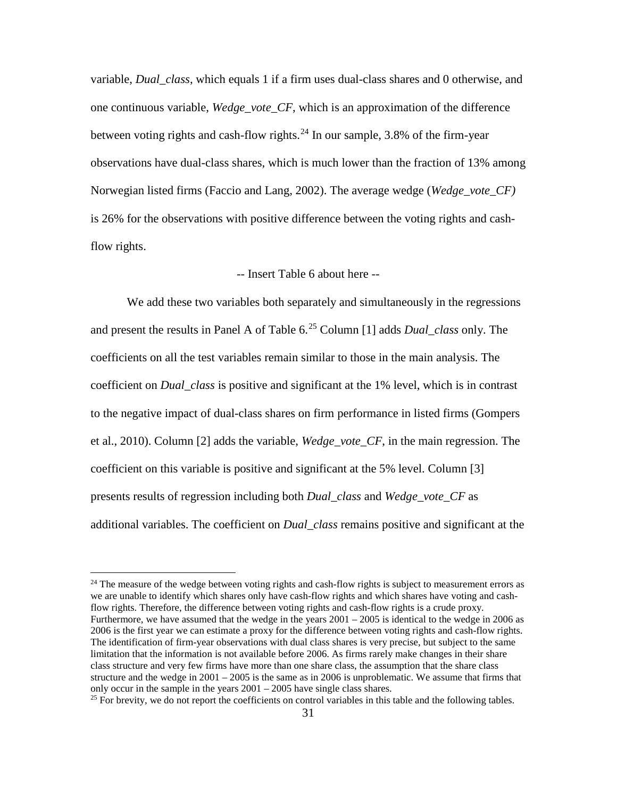variable, *Dual\_class*, which equals 1 if a firm uses dual-class shares and 0 otherwise, and one continuous variable, *Wedge\_vote\_CF*, which is an approximation of the difference between voting rights and cash-flow rights.<sup>[24](#page-32-0)</sup> In our sample, 3.8% of the firm-year observations have dual-class shares, which is much lower than the fraction of 13% among Norwegian listed firms (Faccio and Lang, 2002). The average wedge (*Wedge\_vote\_CF)* is 26% for the observations with positive difference between the voting rights and cashflow rights.

#### -- Insert Table 6 about here --

We add these two variables both separately and simultaneously in the regressions and present the results in Panel A of Table 6.[25](#page-32-1) Column [1] adds *Dual\_class* only. The coefficients on all the test variables remain similar to those in the main analysis. The coefficient on *Dual\_class* is positive and significant at the 1% level, which is in contrast to the negative impact of dual-class shares on firm performance in listed firms (Gompers et al., 2010). Column [2] adds the variable, *Wedge\_vote\_CF*, in the main regression. The coefficient on this variable is positive and significant at the 5% level. Column [3] presents results of regression including both *Dual\_class* and *Wedge\_vote\_CF* as additional variables. The coefficient on *Dual\_class* remains positive and significant at the

<span id="page-32-0"></span> $24$  The measure of the wedge between voting rights and cash-flow rights is subject to measurement errors as we are unable to identify which shares only have cash-flow rights and which shares have voting and cashflow rights. Therefore, the difference between voting rights and cash-flow rights is a crude proxy. Furthermore, we have assumed that the wedge in the years  $2001 - 2005$  is identical to the wedge in 2006 as 2006 is the first year we can estimate a proxy for the difference between voting rights and cash-flow rights. The identification of firm-year observations with dual class shares is very precise, but subject to the same limitation that the information is not available before 2006. As firms rarely make changes in their share class structure and very few firms have more than one share class, the assumption that the share class structure and the wedge in  $2001 - 2005$  is the same as in 2006 is unproblematic. We assume that firms that only occur in the sample in the years  $2001 - 2005$  have single class shares.<br><sup>25</sup> For brevity, we do not report the coefficients on control variables in this table and the following tables.

<span id="page-32-1"></span>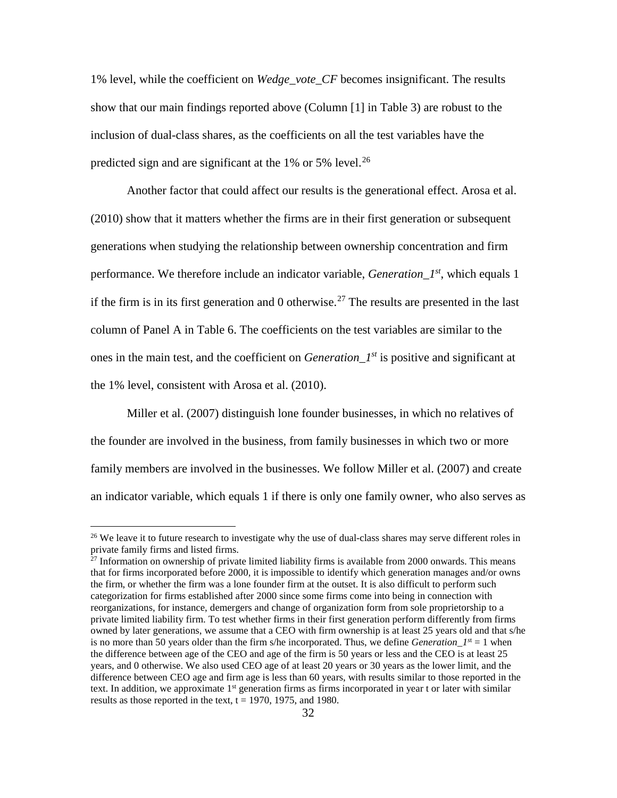1% level, while the coefficient on *Wedge\_vote\_CF* becomes insignificant. The results show that our main findings reported above (Column [1] in Table 3) are robust to the inclusion of dual-class shares, as the coefficients on all the test variables have the predicted sign and are significant at the 1% or 5% level.<sup>[26](#page-33-0)</sup>

Another factor that could affect our results is the generational effect. Arosa et al. (2010) show that it matters whether the firms are in their first generation or subsequent generations when studying the relationship between ownership concentration and firm performance. We therefore include an indicator variable, *Generation\_1st*, which equals 1 if the firm is in its first generation and 0 otherwise.<sup>[27](#page-33-1)</sup> The results are presented in the last column of Panel A in Table 6. The coefficients on the test variables are similar to the ones in the main test, and the coefficient on *Generation\_1st* is positive and significant at the 1% level, consistent with Arosa et al. (2010).

Miller et al. (2007) distinguish lone founder businesses, in which no relatives of the founder are involved in the business, from family businesses in which two or more family members are involved in the businesses. We follow Miller et al. (2007) and create an indicator variable, which equals 1 if there is only one family owner, who also serves as

<span id="page-33-0"></span><sup>&</sup>lt;sup>26</sup> We leave it to future research to investigate why the use of dual-class shares may serve different roles in private family firms and listed firms.

<span id="page-33-1"></span><sup>&</sup>lt;sup>27</sup> Information on ownership of private limited liability firms is available from 2000 onwards. This means that for firms incorporated before 2000, it is impossible to identify which generation manages and/or owns the firm, or whether the firm was a lone founder firm at the outset. It is also difficult to perform such categorization for firms established after 2000 since some firms come into being in connection with reorganizations, for instance, demergers and change of organization form from sole proprietorship to a private limited liability firm. To test whether firms in their first generation perform differently from firms owned by later generations, we assume that a CEO with firm ownership is at least 25 years old and that s/he is no more than 50 years older than the firm s/he incorporated. Thus, we define *Generation*  $I^{st} = 1$  when the difference between age of the CEO and age of the firm is 50 years or less and the CEO is at least 25 years, and 0 otherwise. We also used CEO age of at least 20 years or 30 years as the lower limit, and the difference between CEO age and firm age is less than 60 years, with results similar to those reported in the text. In addition, we approximate  $1<sup>st</sup>$  generation firms as firms incorporated in year t or later with similar results as those reported in the text,  $t = 1970$ , 1975, and 1980.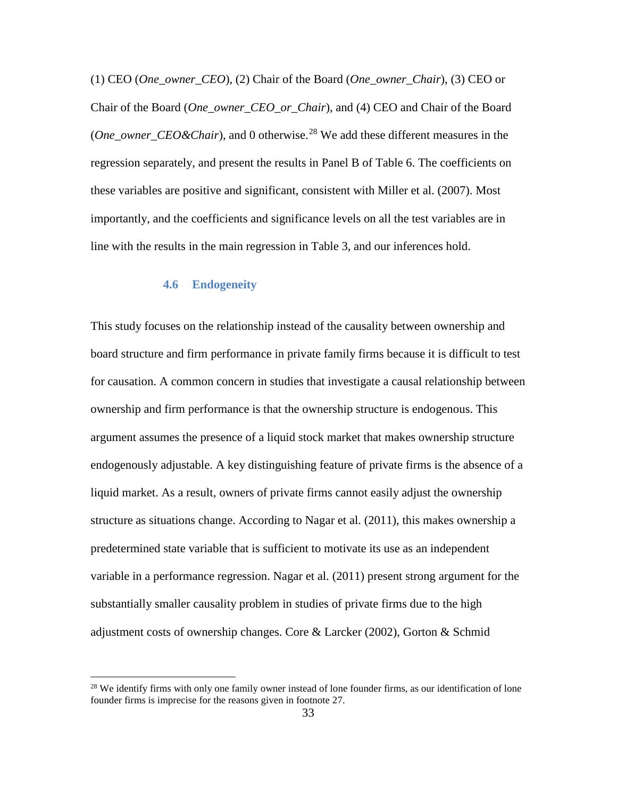(1) CEO (*One\_owner\_CEO*), (2) Chair of the Board (*One\_owner\_Chair*), (3) CEO or Chair of the Board (*One\_owner\_CEO\_or\_Chair*), and (4) CEO and Chair of the Board (*One\_owner\_CEO&Chair*), and 0 otherwise.<sup>[28](#page-34-0)</sup> We add these different measures in the regression separately, and present the results in Panel B of Table 6. The coefficients on these variables are positive and significant, consistent with Miller et al. (2007). Most importantly, and the coefficients and significance levels on all the test variables are in line with the results in the main regression in Table 3, and our inferences hold.

#### **4.6 Endogeneity**

This study focuses on the relationship instead of the causality between ownership and board structure and firm performance in private family firms because it is difficult to test for causation. A common concern in studies that investigate a causal relationship between ownership and firm performance is that the ownership structure is endogenous. This argument assumes the presence of a liquid stock market that makes ownership structure endogenously adjustable. A key distinguishing feature of private firms is the absence of a liquid market. As a result, owners of private firms cannot easily adjust the ownership structure as situations change. According to Nagar et al. (2011), this makes ownership a predetermined state variable that is sufficient to motivate its use as an independent variable in a performance regression. Nagar et al. (2011) present strong argument for the substantially smaller causality problem in studies of private firms due to the high adjustment costs of ownership changes. Core & Larcker (2002), Gorton & Schmid

<span id="page-34-0"></span><sup>&</sup>lt;sup>28</sup> We identify firms with only one family owner instead of lone founder firms, as our identification of lone founder firms is imprecise for the reasons given in footnote 27.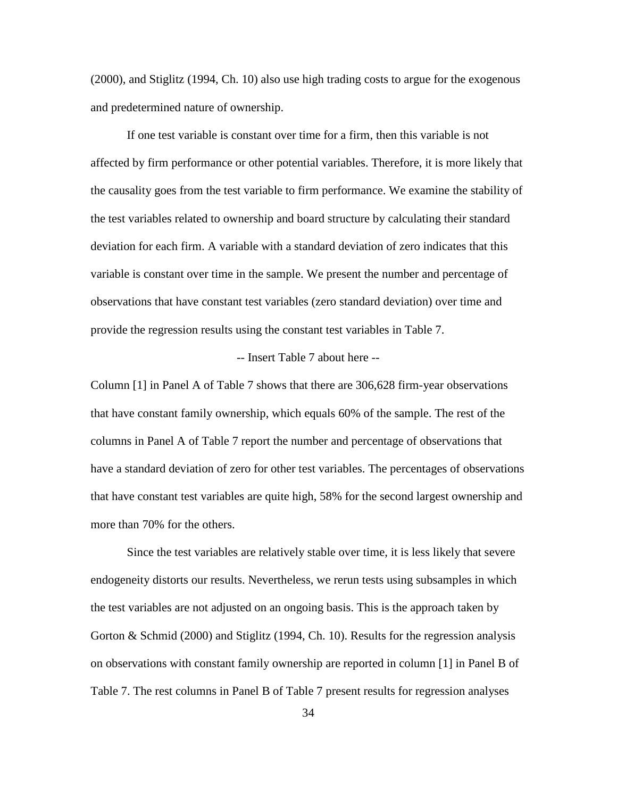(2000), and Stiglitz (1994, Ch. 10) also use high trading costs to argue for the exogenous and predetermined nature of ownership.

If one test variable is constant over time for a firm, then this variable is not affected by firm performance or other potential variables. Therefore, it is more likely that the causality goes from the test variable to firm performance. We examine the stability of the test variables related to ownership and board structure by calculating their standard deviation for each firm. A variable with a standard deviation of zero indicates that this variable is constant over time in the sample. We present the number and percentage of observations that have constant test variables (zero standard deviation) over time and provide the regression results using the constant test variables in Table 7.

#### -- Insert Table 7 about here --

Column [1] in Panel A of Table 7 shows that there are 306,628 firm-year observations that have constant family ownership, which equals 60% of the sample. The rest of the columns in Panel A of Table 7 report the number and percentage of observations that have a standard deviation of zero for other test variables. The percentages of observations that have constant test variables are quite high, 58% for the second largest ownership and more than 70% for the others.

Since the test variables are relatively stable over time, it is less likely that severe endogeneity distorts our results. Nevertheless, we rerun tests using subsamples in which the test variables are not adjusted on an ongoing basis. This is the approach taken by Gorton & Schmid (2000) and Stiglitz (1994, Ch. 10). Results for the regression analysis on observations with constant family ownership are reported in column [1] in Panel B of Table 7. The rest columns in Panel B of Table 7 present results for regression analyses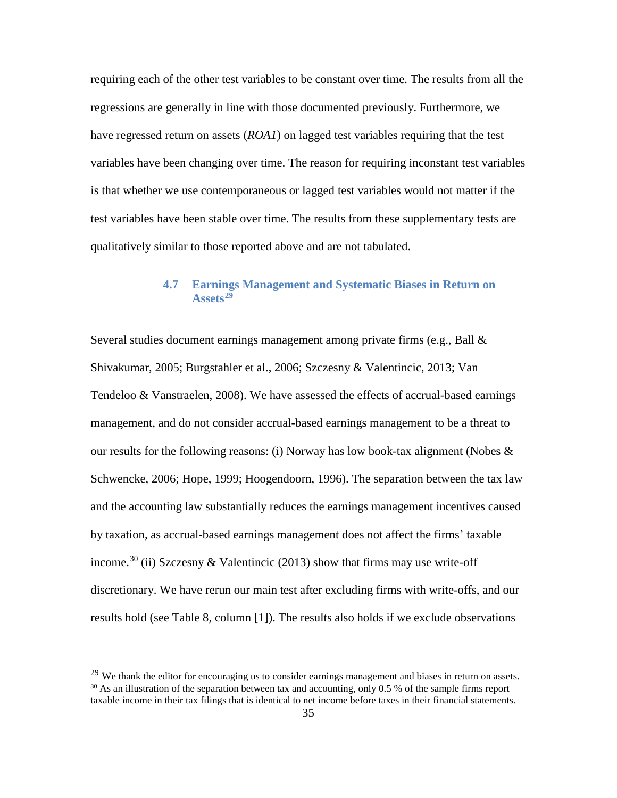requiring each of the other test variables to be constant over time. The results from all the regressions are generally in line with those documented previously. Furthermore, we have regressed return on assets (*ROA1*) on lagged test variables requiring that the test variables have been changing over time. The reason for requiring inconstant test variables is that whether we use contemporaneous or lagged test variables would not matter if the test variables have been stable over time. The results from these supplementary tests are qualitatively similar to those reported above and are not tabulated.

#### **4.7 Earnings Management and Systematic Biases in Return on Assets[29](#page-36-0)**

Several studies document earnings management among private firms (e.g., Ball & Shivakumar, 2005; Burgstahler et al., 2006; Szczesny & Valentincic, 2013; Van Tendeloo & Vanstraelen, 2008). We have assessed the effects of accrual-based earnings management, and do not consider accrual-based earnings management to be a threat to our results for the following reasons: (i) Norway has low book-tax alignment (Nobes & Schwencke, 2006; Hope, 1999; Hoogendoorn, 1996). The separation between the tax law and the accounting law substantially reduces the earnings management incentives caused by taxation, as accrual-based earnings management does not affect the firms' taxable income.<sup>[30](#page-36-1)</sup> (ii) Szczesny & Valentincic (2013) show that firms may use write-off discretionary. We have rerun our main test after excluding firms with write-offs, and our results hold (see Table 8, column [1]). The results also holds if we exclude observations

<span id="page-36-1"></span><span id="page-36-0"></span><sup>&</sup>lt;sup>29</sup> We thank the editor for encouraging us to consider earnings management and biases in return on assets.  $30$  As an illustration of the separation between tax and accounting, only 0.5 % of the sample firms report taxable income in their tax filings that is identical to net income before taxes in their financial statements.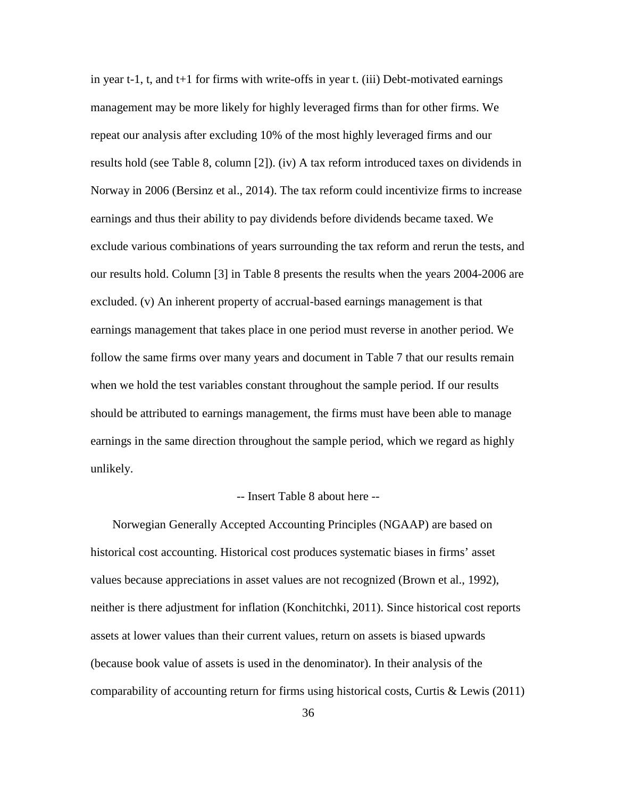in year t-1, t, and t+1 for firms with write-offs in year t. (iii) Debt-motivated earnings management may be more likely for highly leveraged firms than for other firms. We repeat our analysis after excluding 10% of the most highly leveraged firms and our results hold (see Table 8, column [2]). (iv) A tax reform introduced taxes on dividends in Norway in 2006 (Bersinz et al., 2014). The tax reform could incentivize firms to increase earnings and thus their ability to pay dividends before dividends became taxed. We exclude various combinations of years surrounding the tax reform and rerun the tests, and our results hold. Column [3] in Table 8 presents the results when the years 2004-2006 are excluded. (v) An inherent property of accrual-based earnings management is that earnings management that takes place in one period must reverse in another period. We follow the same firms over many years and document in Table 7 that our results remain when we hold the test variables constant throughout the sample period. If our results should be attributed to earnings management, the firms must have been able to manage earnings in the same direction throughout the sample period, which we regard as highly unlikely.

#### -- Insert Table 8 about here --

Norwegian Generally Accepted Accounting Principles (NGAAP) are based on historical cost accounting. Historical cost produces systematic biases in firms' asset values because appreciations in asset values are not recognized (Brown et al., 1992), neither is there adjustment for inflation (Konchitchki, 2011). Since historical cost reports assets at lower values than their current values, return on assets is biased upwards (because book value of assets is used in the denominator). In their analysis of the comparability of accounting return for firms using historical costs, Curtis  $&$  Lewis (2011)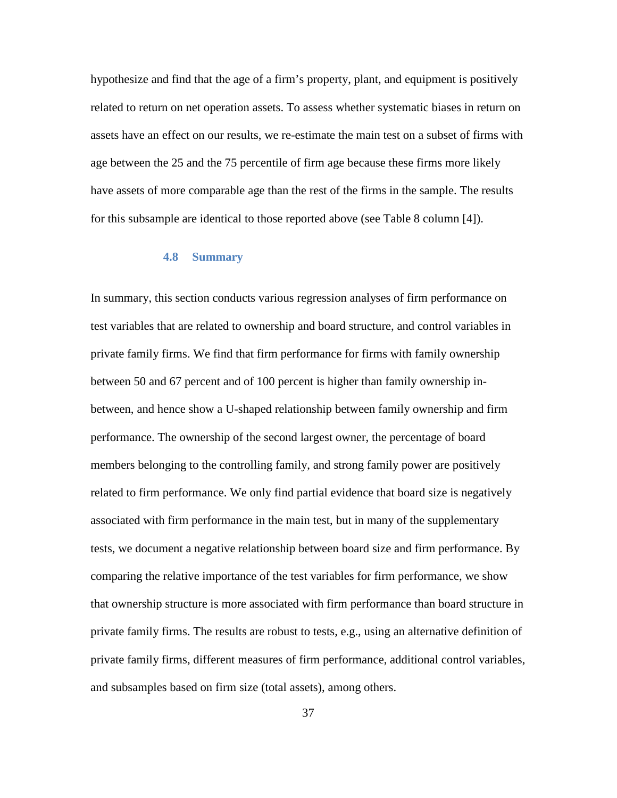hypothesize and find that the age of a firm's property, plant, and equipment is positively related to return on net operation assets. To assess whether systematic biases in return on assets have an effect on our results, we re-estimate the main test on a subset of firms with age between the 25 and the 75 percentile of firm age because these firms more likely have assets of more comparable age than the rest of the firms in the sample. The results for this subsample are identical to those reported above (see Table 8 column [4]).

#### **4.8 Summary**

In summary, this section conducts various regression analyses of firm performance on test variables that are related to ownership and board structure, and control variables in private family firms. We find that firm performance for firms with family ownership between 50 and 67 percent and of 100 percent is higher than family ownership inbetween, and hence show a U-shaped relationship between family ownership and firm performance. The ownership of the second largest owner, the percentage of board members belonging to the controlling family, and strong family power are positively related to firm performance. We only find partial evidence that board size is negatively associated with firm performance in the main test, but in many of the supplementary tests, we document a negative relationship between board size and firm performance. By comparing the relative importance of the test variables for firm performance, we show that ownership structure is more associated with firm performance than board structure in private family firms. The results are robust to tests, e.g., using an alternative definition of private family firms, different measures of firm performance, additional control variables, and subsamples based on firm size (total assets), among others.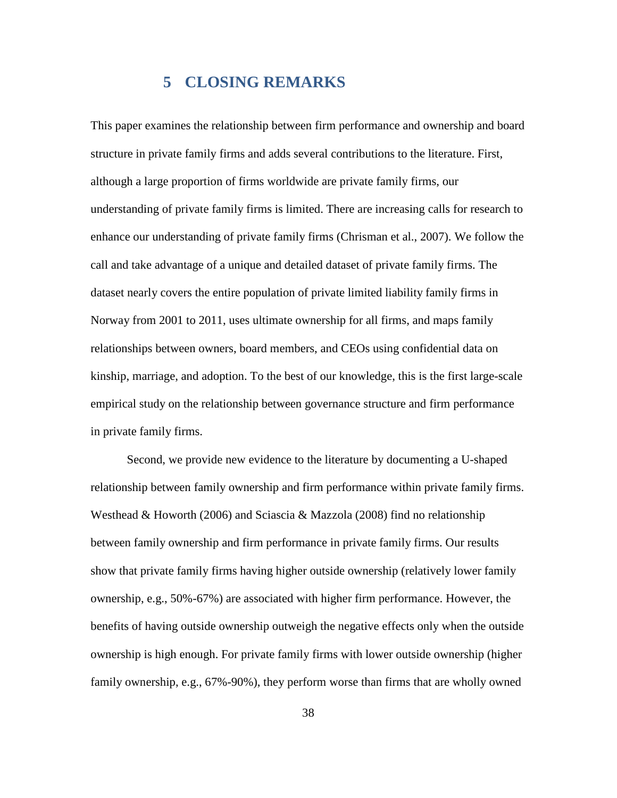## **5 CLOSING REMARKS**

This paper examines the relationship between firm performance and ownership and board structure in private family firms and adds several contributions to the literature. First, although a large proportion of firms worldwide are private family firms, our understanding of private family firms is limited. There are increasing calls for research to enhance our understanding of private family firms (Chrisman et al., 2007). We follow the call and take advantage of a unique and detailed dataset of private family firms. The dataset nearly covers the entire population of private limited liability family firms in Norway from 2001 to 2011, uses ultimate ownership for all firms, and maps family relationships between owners, board members, and CEOs using confidential data on kinship, marriage, and adoption. To the best of our knowledge, this is the first large-scale empirical study on the relationship between governance structure and firm performance in private family firms.

Second, we provide new evidence to the literature by documenting a U-shaped relationship between family ownership and firm performance within private family firms. Westhead & Howorth (2006) and Sciascia & Mazzola (2008) find no relationship between family ownership and firm performance in private family firms. Our results show that private family firms having higher outside ownership (relatively lower family ownership, e.g., 50%-67%) are associated with higher firm performance. However, the benefits of having outside ownership outweigh the negative effects only when the outside ownership is high enough. For private family firms with lower outside ownership (higher family ownership, e.g., 67%-90%), they perform worse than firms that are wholly owned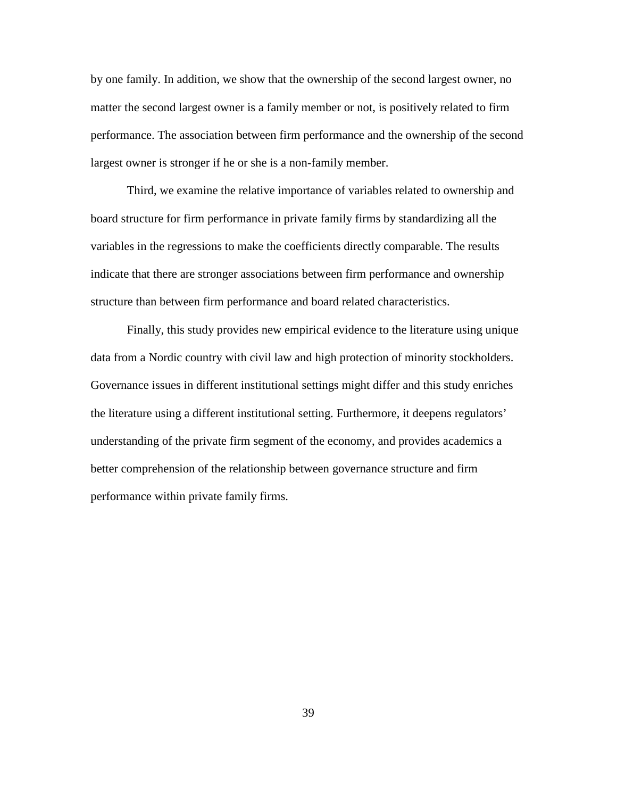by one family. In addition, we show that the ownership of the second largest owner, no matter the second largest owner is a family member or not, is positively related to firm performance. The association between firm performance and the ownership of the second largest owner is stronger if he or she is a non-family member.

Third, we examine the relative importance of variables related to ownership and board structure for firm performance in private family firms by standardizing all the variables in the regressions to make the coefficients directly comparable. The results indicate that there are stronger associations between firm performance and ownership structure than between firm performance and board related characteristics.

Finally, this study provides new empirical evidence to the literature using unique data from a Nordic country with civil law and high protection of minority stockholders. Governance issues in different institutional settings might differ and this study enriches the literature using a different institutional setting. Furthermore, it deepens regulators' understanding of the private firm segment of the economy, and provides academics a better comprehension of the relationship between governance structure and firm performance within private family firms.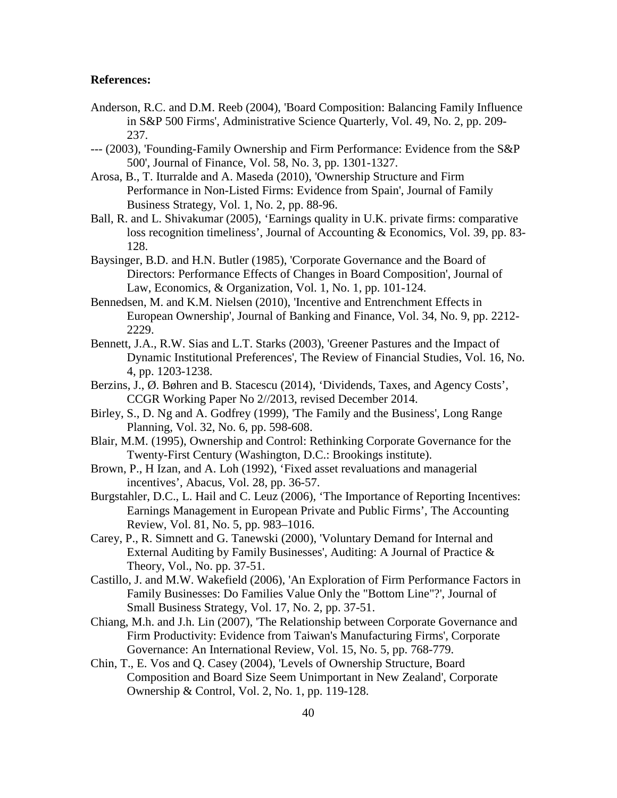#### **References:**

- Anderson, R.C. and D.M. Reeb (2004), 'Board Composition: Balancing Family Influence in S&P 500 Firms', Administrative Science Quarterly, Vol. 49, No. 2, pp. 209- 237.
- --- (2003), 'Founding-Family Ownership and Firm Performance: Evidence from the S&P 500', Journal of Finance, Vol. 58, No. 3, pp. 1301-1327.
- Arosa, B., T. Iturralde and A. Maseda (2010), 'Ownership Structure and Firm Performance in Non-Listed Firms: Evidence from Spain', Journal of Family Business Strategy, Vol. 1, No. 2, pp. 88-96.
- Ball, R. and L. Shivakumar (2005), 'Earnings quality in U.K. private firms: comparative loss recognition timeliness', Journal of Accounting & Economics, Vol. 39, pp. 83- 128.
- Baysinger, B.D. and H.N. Butler (1985), 'Corporate Governance and the Board of Directors: Performance Effects of Changes in Board Composition', Journal of Law, Economics, & Organization, Vol. 1, No. 1, pp. 101-124.
- Bennedsen, M. and K.M. Nielsen (2010), 'Incentive and Entrenchment Effects in European Ownership', Journal of Banking and Finance, Vol. 34, No. 9, pp. 2212- 2229.
- Bennett, J.A., R.W. Sias and L.T. Starks (2003), 'Greener Pastures and the Impact of Dynamic Institutional Preferences', The Review of Financial Studies, Vol. 16, No. 4, pp. 1203-1238.
- Berzins, J., Ø. Bøhren and B. Stacescu (2014), 'Dividends, Taxes, and Agency Costs', CCGR Working Paper No 2//2013, revised December 2014.
- Birley, S., D. Ng and A. Godfrey (1999), 'The Family and the Business', Long Range Planning, Vol. 32, No. 6, pp. 598-608.
- Blair, M.M. (1995), Ownership and Control: Rethinking Corporate Governance for the Twenty-First Century (Washington, D.C.: Brookings institute).
- Brown, P., H Izan, and A. Loh (1992), 'Fixed asset revaluations and managerial incentives', Abacus, Vol. 28, pp. 36-57.
- Burgstahler, D.C., L. Hail and C. Leuz (2006), 'The Importance of Reporting Incentives: Earnings Management in European Private and Public Firms', The Accounting Review, Vol. 81, No. 5, pp. 983–1016.
- Carey, P., R. Simnett and G. Tanewski (2000), 'Voluntary Demand for Internal and External Auditing by Family Businesses', Auditing: A Journal of Practice & Theory, Vol., No. pp. 37-51.
- Castillo, J. and M.W. Wakefield (2006), 'An Exploration of Firm Performance Factors in Family Businesses: Do Families Value Only the "Bottom Line"?', Journal of Small Business Strategy, Vol. 17, No. 2, pp. 37-51.
- Chiang, M.h. and J.h. Lin (2007), 'The Relationship between Corporate Governance and Firm Productivity: Evidence from Taiwan's Manufacturing Firms', Corporate Governance: An International Review, Vol. 15, No. 5, pp. 768-779.
- Chin, T., E. Vos and Q. Casey (2004), 'Levels of Ownership Structure, Board Composition and Board Size Seem Unimportant in New Zealand', Corporate Ownership & Control, Vol. 2, No. 1, pp. 119-128.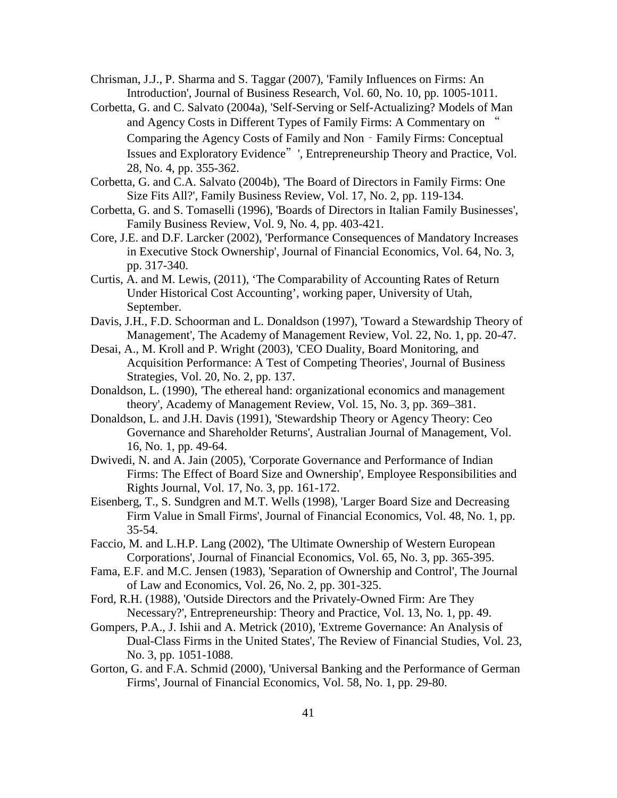Chrisman, J.J., P. Sharma and S. Taggar (2007), 'Family Influences on Firms: An Introduction', Journal of Business Research, Vol. 60, No. 10, pp. 1005-1011.

- Corbetta, G. and C. Salvato (2004a), 'Self-Serving or Self-Actualizing? Models of Man and Agency Costs in Different Types of Family Firms: A Commentary on " Comparing the Agency Costs of Family and Non - Family Firms: Conceptual Issues and Exploratory Evidence"', Entrepreneurship Theory and Practice, Vol. 28, No. 4, pp. 355-362.
- Corbetta, G. and C.A. Salvato (2004b), 'The Board of Directors in Family Firms: One Size Fits All?', Family Business Review, Vol. 17, No. 2, pp. 119-134.
- Corbetta, G. and S. Tomaselli (1996), 'Boards of Directors in Italian Family Businesses', Family Business Review, Vol. 9, No. 4, pp. 403-421.
- Core, J.E. and D.F. Larcker (2002), 'Performance Consequences of Mandatory Increases in Executive Stock Ownership', Journal of Financial Economics, Vol. 64, No. 3, pp. 317-340.
- Curtis, A. and M. Lewis, (2011), 'The Comparability of Accounting Rates of Return Under Historical Cost Accounting', working paper, University of Utah, September.
- Davis, J.H., F.D. Schoorman and L. Donaldson (1997), 'Toward a Stewardship Theory of Management', The Academy of Management Review, Vol. 22, No. 1, pp. 20-47.
- Desai, A., M. Kroll and P. Wright (2003), 'CEO Duality, Board Monitoring, and Acquisition Performance: A Test of Competing Theories', Journal of Business Strategies, Vol. 20, No. 2, pp. 137.
- Donaldson, L. (1990), 'The ethereal hand: organizational economics and management theory', Academy of Management Review, Vol. 15, No. 3, pp. 369–381.
- Donaldson, L. and J.H. Davis (1991), 'Stewardship Theory or Agency Theory: Ceo Governance and Shareholder Returns', Australian Journal of Management, Vol. 16, No. 1, pp. 49-64.
- Dwivedi, N. and A. Jain (2005), 'Corporate Governance and Performance of Indian Firms: The Effect of Board Size and Ownership', Employee Responsibilities and Rights Journal, Vol. 17, No. 3, pp. 161-172.
- Eisenberg, T., S. Sundgren and M.T. Wells (1998), 'Larger Board Size and Decreasing Firm Value in Small Firms', Journal of Financial Economics, Vol. 48, No. 1, pp. 35-54.
- Faccio, M. and L.H.P. Lang (2002), 'The Ultimate Ownership of Western European Corporations', Journal of Financial Economics, Vol. 65, No. 3, pp. 365-395.
- Fama, E.F. and M.C. Jensen (1983), 'Separation of Ownership and Control', The Journal of Law and Economics, Vol. 26, No. 2, pp. 301-325.
- Ford, R.H. (1988), 'Outside Directors and the Privately-Owned Firm: Are They Necessary?', Entrepreneurship: Theory and Practice, Vol. 13, No. 1, pp. 49.
- Gompers, P.A., J. Ishii and A. Metrick (2010), 'Extreme Governance: An Analysis of Dual-Class Firms in the United States', The Review of Financial Studies, Vol. 23, No. 3, pp. 1051-1088.
- Gorton, G. and F.A. Schmid (2000), 'Universal Banking and the Performance of German Firms', Journal of Financial Economics, Vol. 58, No. 1, pp. 29-80.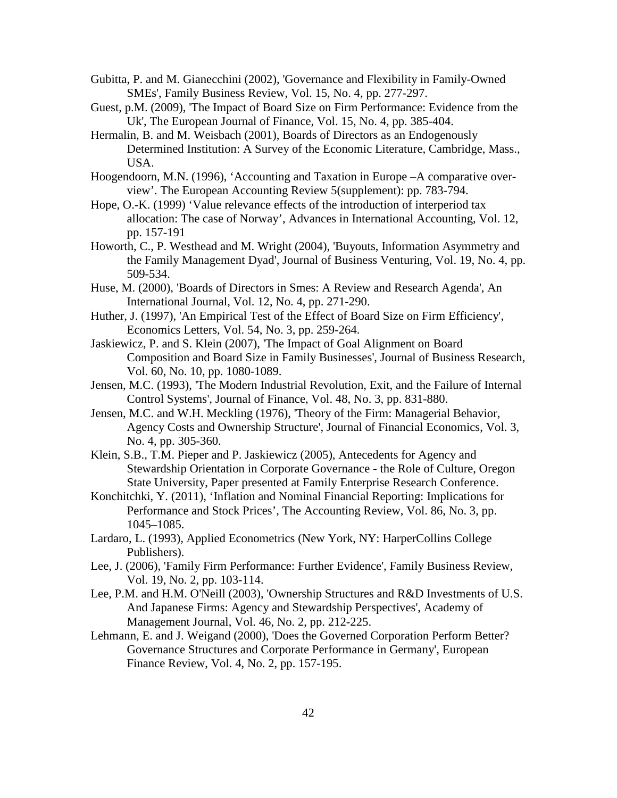- Gubitta, P. and M. Gianecchini (2002), 'Governance and Flexibility in Family-Owned SMEs', Family Business Review, Vol. 15, No. 4, pp. 277-297.
- Guest, p.M. (2009), 'The Impact of Board Size on Firm Performance: Evidence from the Uk', The European Journal of Finance, Vol. 15, No. 4, pp. 385-404.
- Hermalin, B. and M. Weisbach (2001), Boards of Directors as an Endogenously Determined Institution: A Survey of the Economic Literature, Cambridge, Mass., USA.
- Hoogendoorn, M.N. (1996), 'Accounting and Taxation in Europe –A comparative overview'. The European Accounting Review 5(supplement): pp. 783-794.
- Hope, O.-K. (1999) 'Value relevance effects of the introduction of interperiod tax allocation: The case of Norway', Advances in International Accounting, Vol. 12, pp. 157-191
- Howorth, C., P. Westhead and M. Wright (2004), 'Buyouts, Information Asymmetry and the Family Management Dyad', Journal of Business Venturing, Vol. 19, No. 4, pp. 509-534.
- Huse, M. (2000), 'Boards of Directors in Smes: A Review and Research Agenda', An International Journal, Vol. 12, No. 4, pp. 271-290.
- Huther, J. (1997), 'An Empirical Test of the Effect of Board Size on Firm Efficiency', Economics Letters, Vol. 54, No. 3, pp. 259-264.
- Jaskiewicz, P. and S. Klein (2007), 'The Impact of Goal Alignment on Board Composition and Board Size in Family Businesses', Journal of Business Research, Vol. 60, No. 10, pp. 1080-1089.
- Jensen, M.C. (1993), 'The Modern Industrial Revolution, Exit, and the Failure of Internal Control Systems', Journal of Finance, Vol. 48, No. 3, pp. 831-880.
- Jensen, M.C. and W.H. Meckling (1976), 'Theory of the Firm: Managerial Behavior, Agency Costs and Ownership Structure', Journal of Financial Economics, Vol. 3, No. 4, pp. 305-360.
- Klein, S.B., T.M. Pieper and P. Jaskiewicz (2005), Antecedents for Agency and Stewardship Orientation in Corporate Governance - the Role of Culture, Oregon State University, Paper presented at Family Enterprise Research Conference.
- Konchitchki, Y. (2011), 'Inflation and Nominal Financial Reporting: Implications for Performance and Stock Prices', The Accounting Review, Vol. 86, No. 3, pp. 1045–1085.
- Lardaro, L. (1993), Applied Econometrics (New York, NY: HarperCollins College Publishers).
- Lee, J. (2006), 'Family Firm Performance: Further Evidence', Family Business Review, Vol. 19, No. 2, pp. 103-114.
- Lee, P.M. and H.M. O'Neill (2003), 'Ownership Structures and R&D Investments of U.S. And Japanese Firms: Agency and Stewardship Perspectives', Academy of Management Journal, Vol. 46, No. 2, pp. 212-225.
- Lehmann, E. and J. Weigand (2000), 'Does the Governed Corporation Perform Better? Governance Structures and Corporate Performance in Germany', European Finance Review, Vol. 4, No. 2, pp. 157-195.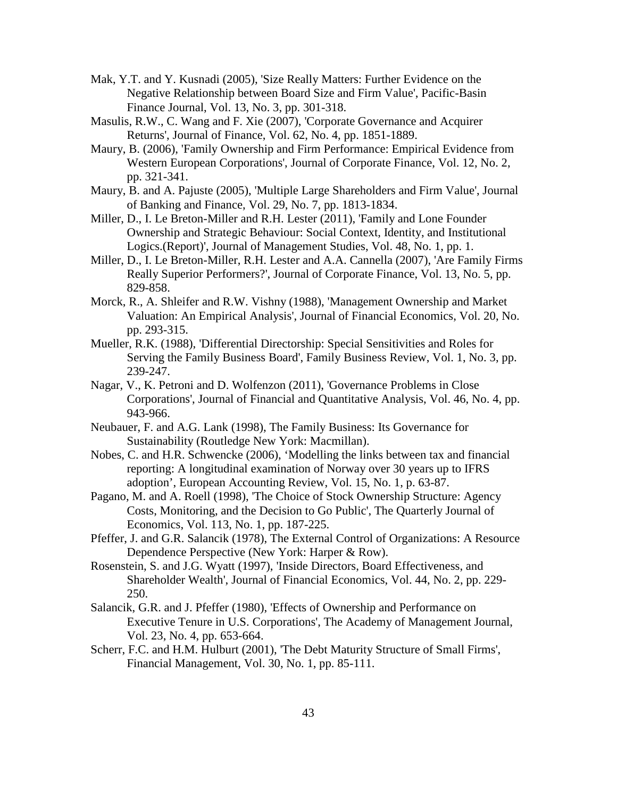- Mak, Y.T. and Y. Kusnadi (2005), 'Size Really Matters: Further Evidence on the Negative Relationship between Board Size and Firm Value', Pacific-Basin Finance Journal, Vol. 13, No. 3, pp. 301-318.
- Masulis, R.W., C. Wang and F. Xie (2007), 'Corporate Governance and Acquirer Returns', Journal of Finance, Vol. 62, No. 4, pp. 1851-1889.
- Maury, B. (2006), 'Family Ownership and Firm Performance: Empirical Evidence from Western European Corporations', Journal of Corporate Finance, Vol. 12, No. 2, pp. 321-341.
- Maury, B. and A. Pajuste (2005), 'Multiple Large Shareholders and Firm Value', Journal of Banking and Finance, Vol. 29, No. 7, pp. 1813-1834.
- Miller, D., I. Le Breton-Miller and R.H. Lester (2011), 'Family and Lone Founder Ownership and Strategic Behaviour: Social Context, Identity, and Institutional Logics.(Report)', Journal of Management Studies, Vol. 48, No. 1, pp. 1.
- Miller, D., I. Le Breton-Miller, R.H. Lester and A.A. Cannella (2007), 'Are Family Firms Really Superior Performers?', Journal of Corporate Finance, Vol. 13, No. 5, pp. 829-858.
- Morck, R., A. Shleifer and R.W. Vishny (1988), 'Management Ownership and Market Valuation: An Empirical Analysis', Journal of Financial Economics, Vol. 20, No. pp. 293-315.
- Mueller, R.K. (1988), 'Differential Directorship: Special Sensitivities and Roles for Serving the Family Business Board', Family Business Review, Vol. 1, No. 3, pp. 239-247.
- Nagar, V., K. Petroni and D. Wolfenzon (2011), 'Governance Problems in Close Corporations', Journal of Financial and Quantitative Analysis, Vol. 46, No. 4, pp. 943-966.
- Neubauer, F. and A.G. Lank (1998), The Family Business: Its Governance for Sustainability (Routledge New York: Macmillan).
- Nobes, C. and H.R. Schwencke (2006), 'Modelling the links between tax and financial reporting: A longitudinal examination of Norway over 30 years up to IFRS adoption', European Accounting Review, Vol. 15, No. 1, p. 63-87.
- Pagano, M. and A. Roell (1998), 'The Choice of Stock Ownership Structure: Agency Costs, Monitoring, and the Decision to Go Public', The Quarterly Journal of Economics, Vol. 113, No. 1, pp. 187-225.
- Pfeffer, J. and G.R. Salancik (1978), The External Control of Organizations: A Resource Dependence Perspective (New York: Harper & Row).
- Rosenstein, S. and J.G. Wyatt (1997), 'Inside Directors, Board Effectiveness, and Shareholder Wealth', Journal of Financial Economics, Vol. 44, No. 2, pp. 229- 250.
- Salancik, G.R. and J. Pfeffer (1980), 'Effects of Ownership and Performance on Executive Tenure in U.S. Corporations', The Academy of Management Journal, Vol. 23, No. 4, pp. 653-664.
- Scherr, F.C. and H.M. Hulburt (2001), 'The Debt Maturity Structure of Small Firms', Financial Management, Vol. 30, No. 1, pp. 85-111.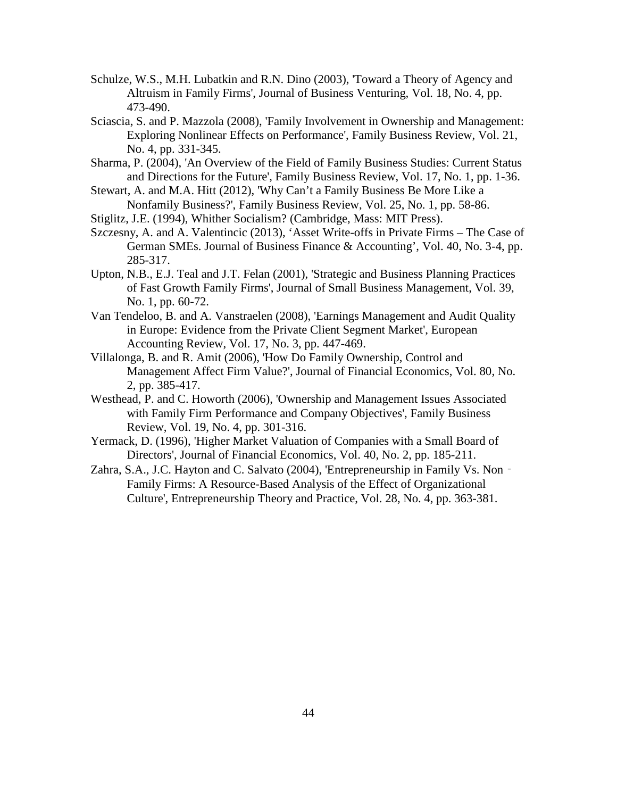- Schulze, W.S., M.H. Lubatkin and R.N. Dino (2003), 'Toward a Theory of Agency and Altruism in Family Firms', Journal of Business Venturing, Vol. 18, No. 4, pp. 473-490.
- Sciascia, S. and P. Mazzola (2008), 'Family Involvement in Ownership and Management: Exploring Nonlinear Effects on Performance', Family Business Review, Vol. 21, No. 4, pp. 331-345.
- Sharma, P. (2004), 'An Overview of the Field of Family Business Studies: Current Status and Directions for the Future', Family Business Review, Vol. 17, No. 1, pp. 1-36.
- Stewart, A. and M.A. Hitt (2012), 'Why Can't a Family Business Be More Like a Nonfamily Business?', Family Business Review, Vol. 25, No. 1, pp. 58-86.
- Stiglitz, J.E. (1994), Whither Socialism? (Cambridge, Mass: MIT Press).
- Szczesny, A. and A. Valentincic (2013), 'Asset Write-offs in Private Firms The Case of German SMEs. Journal of Business Finance & Accounting', Vol. 40, No. 3-4, pp. 285-317.
- Upton, N.B., E.J. Teal and J.T. Felan (2001), 'Strategic and Business Planning Practices of Fast Growth Family Firms', Journal of Small Business Management, Vol. 39, No. 1, pp. 60-72.
- Van Tendeloo, B. and A. Vanstraelen (2008), 'Earnings Management and Audit Quality in Europe: Evidence from the Private Client Segment Market', European Accounting Review, Vol. 17, No. 3, pp. 447-469.
- Villalonga, B. and R. Amit (2006), 'How Do Family Ownership, Control and Management Affect Firm Value?', Journal of Financial Economics, Vol. 80, No. 2, pp. 385-417.
- Westhead, P. and C. Howorth (2006), 'Ownership and Management Issues Associated with Family Firm Performance and Company Objectives', Family Business Review, Vol. 19, No. 4, pp. 301-316.
- Yermack, D. (1996), 'Higher Market Valuation of Companies with a Small Board of Directors', Journal of Financial Economics, Vol. 40, No. 2, pp. 185-211.
- Zahra, S.A., J.C. Hayton and C. Salvato (2004), 'Entrepreneurship in Family Vs. Non -Family Firms: A Resource-Based Analysis of the Effect of Organizational Culture', Entrepreneurship Theory and Practice, Vol. 28, No. 4, pp. 363-381.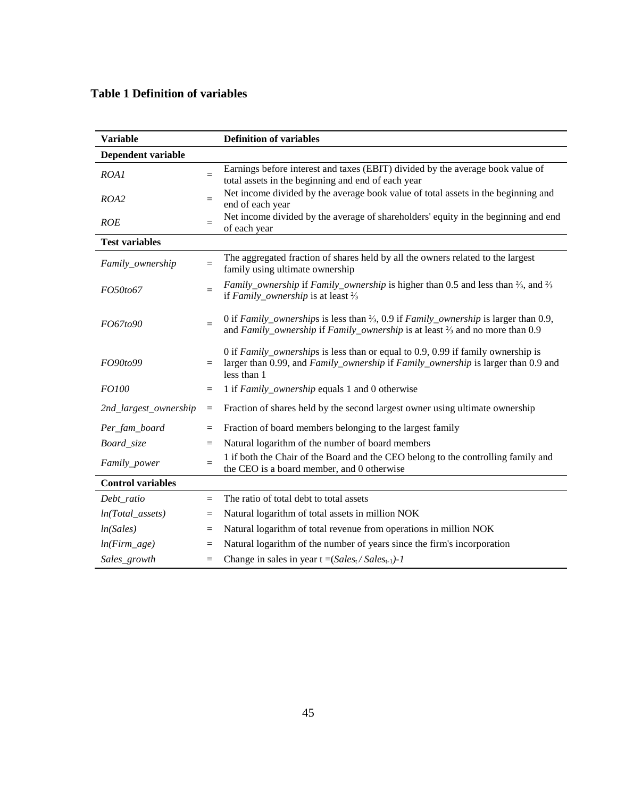### **Table 1 Definition of variables**

| <b>Variable</b>          |          | <b>Definition of variables</b>                                                                                                                                                                           |
|--------------------------|----------|----------------------------------------------------------------------------------------------------------------------------------------------------------------------------------------------------------|
| Dependent variable       |          |                                                                                                                                                                                                          |
| ROA1                     | $=$      | Earnings before interest and taxes (EBIT) divided by the average book value of<br>total assets in the beginning and end of each year                                                                     |
| ROA2                     | $=$      | Net income divided by the average book value of total assets in the beginning and<br>end of each year                                                                                                    |
| <b>ROE</b>               | $=$      | Net income divided by the average of shareholders' equity in the beginning and end<br>of each year                                                                                                       |
| <b>Test variables</b>    |          |                                                                                                                                                                                                          |
| Family_ownership         | $=$      | The aggregated fraction of shares held by all the owners related to the largest<br>family using ultimate ownership                                                                                       |
| FO50to67                 | $=$      | <i>Family_ownership</i> if <i>Family_ownership</i> is higher than 0.5 and less than $\frac{2}{3}$ , and $\frac{2}{3}$<br>if Family_ownership is at least $\frac{2}{3}$                                   |
| FO67to90                 | $=$      | 0 if Family_ownerships is less than $\frac{2}{3}$ , 0.9 if Family_ownership is larger than 0.9,<br>and Family_ownership if Family_ownership is at least <sup>2</sup> / <sub>3</sub> and no more than 0.9 |
| FO90to99                 | $=$      | 0 if Family_ownerships is less than or equal to 0.9, 0.99 if family ownership is<br>larger than 0.99, and Family_ownership if Family_ownership is larger than 0.9 and<br>less than 1                     |
| <i>FO100</i>             | $=$      | 1 if <i>Family_ownership</i> equals 1 and 0 otherwise                                                                                                                                                    |
| 2nd_largest_ownership    | $\equiv$ | Fraction of shares held by the second largest owner using ultimate ownership                                                                                                                             |
| Per_fam_board            | $=$      | Fraction of board members belonging to the largest family                                                                                                                                                |
| Board_size               | $=$      | Natural logarithm of the number of board members                                                                                                                                                         |
| Family_power             | $=$      | 1 if both the Chair of the Board and the CEO belong to the controlling family and<br>the CEO is a board member, and 0 otherwise                                                                          |
| <b>Control variables</b> |          |                                                                                                                                                                                                          |
| Debt_ratio               | $=$      | The ratio of total debt to total assets                                                                                                                                                                  |
| $ln(Total\_asserts)$     | $=$      | Natural logarithm of total assets in million NOK                                                                                                                                                         |
| ln(Sales)                | $=$      | Natural logarithm of total revenue from operations in million NOK                                                                                                                                        |
| $ln(Firm\_age)$          | $=$      | Natural logarithm of the number of years since the firm's incorporation                                                                                                                                  |
| Sales_growth             | $=$      | Change in sales in year $t = (Sales_t / Sales_{t-1}) - 1$                                                                                                                                                |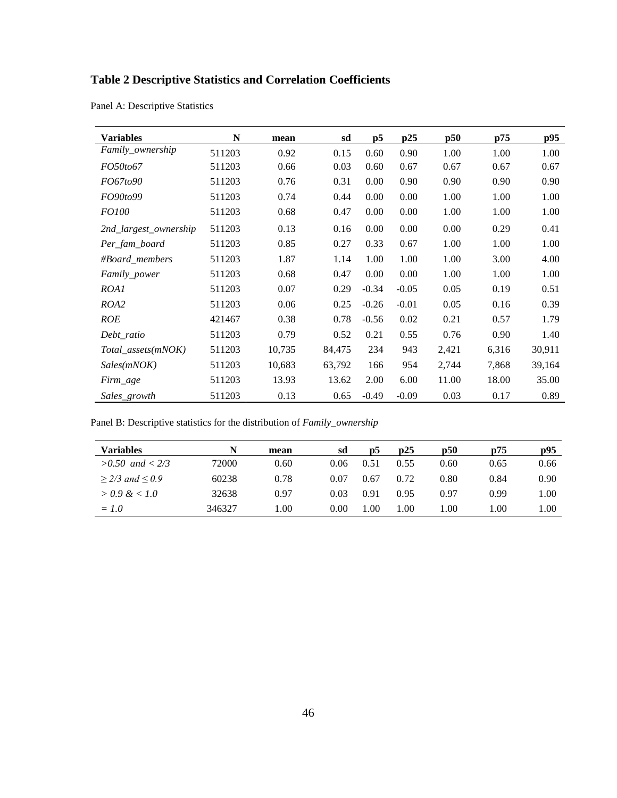# **Table 2 Descriptive Statistics and Correlation Coefficients**

| <b>Variables</b>      | N      | mean   | sd     | p5      | p25     | p50   | p75   | p95    |
|-----------------------|--------|--------|--------|---------|---------|-------|-------|--------|
| Family_ownership      | 511203 | 0.92   | 0.15   | 0.60    | 0.90    | 1.00  | 1.00  | 1.00   |
| <i>FO50to67</i>       | 511203 | 0.66   | 0.03   | 0.60    | 0.67    | 0.67  | 0.67  | 0.67   |
| FO67to90              | 511203 | 0.76   | 0.31   | 0.00    | 0.90    | 0.90  | 0.90  | 0.90   |
| FO90to99              | 511203 | 0.74   | 0.44   | 0.00    | 0.00    | 1.00  | 1.00  | 1.00   |
| <i>FO100</i>          | 511203 | 0.68   | 0.47   | 0.00    | 0.00    | 1.00  | 1.00  | 1.00   |
| 2nd_largest_ownership | 511203 | 0.13   | 0.16   | 0.00    | 0.00    | 0.00  | 0.29  | 0.41   |
| Per_fam_board         | 511203 | 0.85   | 0.27   | 0.33    | 0.67    | 1.00  | 1.00  | 1.00   |
| #Board_members        | 511203 | 1.87   | 1.14   | 1.00    | 1.00    | 1.00  | 3.00  | 4.00   |
| Family_power          | 511203 | 0.68   | 0.47   | 0.00    | 0.00    | 1.00  | 1.00  | 1.00   |
| ROA1                  | 511203 | 0.07   | 0.29   | $-0.34$ | $-0.05$ | 0.05  | 0.19  | 0.51   |
| ROA2                  | 511203 | 0.06   | 0.25   | $-0.26$ | $-0.01$ | 0.05  | 0.16  | 0.39   |
| ROE                   | 421467 | 0.38   | 0.78   | $-0.56$ | 0.02    | 0.21  | 0.57  | 1.79   |
| Debt_ratio            | 511203 | 0.79   | 0.52   | 0.21    | 0.55    | 0.76  | 0.90  | 1.40   |
| Total_assets(mNOK)    | 511203 | 10,735 | 84,475 | 234     | 943     | 2,421 | 6,316 | 30,911 |
| Sales(mNOK)           | 511203 | 10,683 | 63,792 | 166     | 954     | 2,744 | 7,868 | 39,164 |
| Firm_age              | 511203 | 13.93  | 13.62  | 2.00    | 6.00    | 11.00 | 18.00 | 35.00  |
| Sales_growth          | 511203 | 0.13   | 0.65   | $-0.49$ | $-0.09$ | 0.03  | 0.17  | 0.89   |

Panel A: Descriptive Statistics

Panel B: Descriptive statistics for the distribution of *Family\_ownership*

| <b>Variables</b>    | N      | mean | sd   | D5   | $\mathbf{D}25$ | p50  | p75  | p95  |
|---------------------|--------|------|------|------|----------------|------|------|------|
| $>0.50$ and $< 2/3$ | 72000  | 0.60 | 0.06 | 0.51 | 0.55           | 0.60 | 0.65 | 0.66 |
| $>$ 2/3 and $<$ 0.9 | 60238  | 0.78 | 0.07 | 0.67 | 0.72           | 0.80 | 0.84 | 0.90 |
| $> 0.9 \& 1.0$      | 32638  | 0.97 | 0.03 | 0.91 | 0.95           | 0.97 | 0.99 | 1.00 |
| $= 1.0$             | 346327 | 1.00 | 0.00 | 1.00 | 1.00           | 1.00 | 1.00 | 1.00 |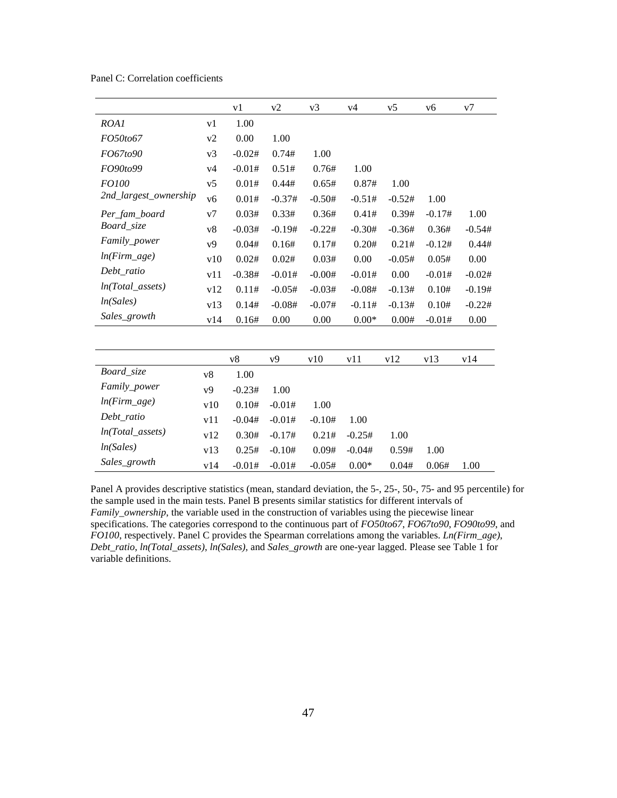|                       |     | v1       | v2       | v3       | v4       | v5       | v6       | v7       |
|-----------------------|-----|----------|----------|----------|----------|----------|----------|----------|
| ROA1                  | v1  | 1.00     |          |          |          |          |          |          |
| FO50to67              | v2  | 0.00     | 1.00     |          |          |          |          |          |
| FO67to90              | v3  | $-0.02#$ | 0.74#    | 1.00     |          |          |          |          |
| FO90to99              | v4  | $-0.01#$ | 0.51#    | 0.76#    | 1.00     |          |          |          |
| FO100                 | v5  | 0.01#    | 0.44#    | 0.65#    | 0.87#    | 1.00     |          |          |
| 2nd_largest_ownership | v6  | 0.01#    | $-0.37#$ | $-0.50#$ | $-0.51#$ | $-0.52#$ | 1.00     |          |
| Per_fam_board         | v7  | 0.03#    | 0.33#    | 0.36#    | 0.41#    | 0.39#    | $-0.17#$ | 1.00     |
| Board_size            | v8  | $-0.03#$ | $-0.19#$ | $-0.22#$ | $-0.30#$ | $-0.36#$ | 0.36#    | $-0.54#$ |
| Family_power          | v9  | 0.04#    | 0.16#    | 0.17#    | 0.20#    | 0.21#    | $-0.12#$ | 0.44#    |
| $ln(Firm\_age)$       | v10 | 0.02#    | 0.02#    | 0.03#    | 0.00     | $-0.05#$ | 0.05#    | 0.00     |
| Debt_ratio            | v11 | $-0.38#$ | $-0.01#$ | $-0.00#$ | $-0.01#$ | 0.00     | $-0.01#$ | $-0.02#$ |
| $ln(Total\_assets)$   | v12 | 0.11#    | $-0.05#$ | $-0.03#$ | $-0.08#$ | $-0.13#$ | 0.10#    | $-0.19#$ |
| ln(Sales)             | v13 | 0.14#    | $-0.08#$ | $-0.07#$ | $-0.11#$ | $-0.13#$ | 0.10#    | $-0.22#$ |
| Sales_growth          | v14 | 0.16#    | 0.00     | 0.00     | $0.00*$  | 0.00#    | $-0.01#$ | $0.00\,$ |
|                       |     |          |          |          |          |          |          |          |
|                       |     | v8       | v9       | v10      | v11      | v12      | v13      | v14      |
| Board_size            | v8  | 1.00     |          |          |          |          |          |          |
| Family_power          | v9  | $-0.23#$ | 1.00     |          |          |          |          |          |
| $ln(Firm\_age)$       | v10 | 0.10#    | $-0.01#$ | 1.00     |          |          |          |          |
| Debt_ratio            | v11 | $-0.04#$ | $-0.01#$ | $-0.10#$ | 1.00     |          |          |          |
| $ln(Total\_assets)$   | v12 | 0.30#    | $-0.17#$ | 0.21#    | $-0.25#$ | 1.00     |          |          |
| ln(Sales)             | v13 | 0.25#    | $-0.10#$ | 0.09#    | $-0.04#$ | 0.59#    | 1.00     |          |
| Sales_growth          | v14 | $-0.01#$ | $-0.01#$ | $-0.05#$ | $0.00*$  | 0.04#    | 0.06#    | 1.00     |

Panel C: Correlation coefficients

Panel A provides descriptive statistics (mean, standard deviation, the 5-, 25-, 50-, 75- and 95 percentile) for the sample used in the main tests. Panel B presents similar statistics for different intervals of *Family\_ownership*, the variable used in the construction of variables using the piecewise linear specifications. The categories correspond to the continuous part of *FO50to67*, *FO67to90*, *FO90to99*, and *FO100*, respectively. Panel C provides the Spearman correlations among the variables. *Ln(Firm\_age)*, *Debt\_ratio*, *ln(Total\_assets)*, *ln(Sales),* and *Sales\_growth* are one-year lagged. Please see Table 1 for variable definitions.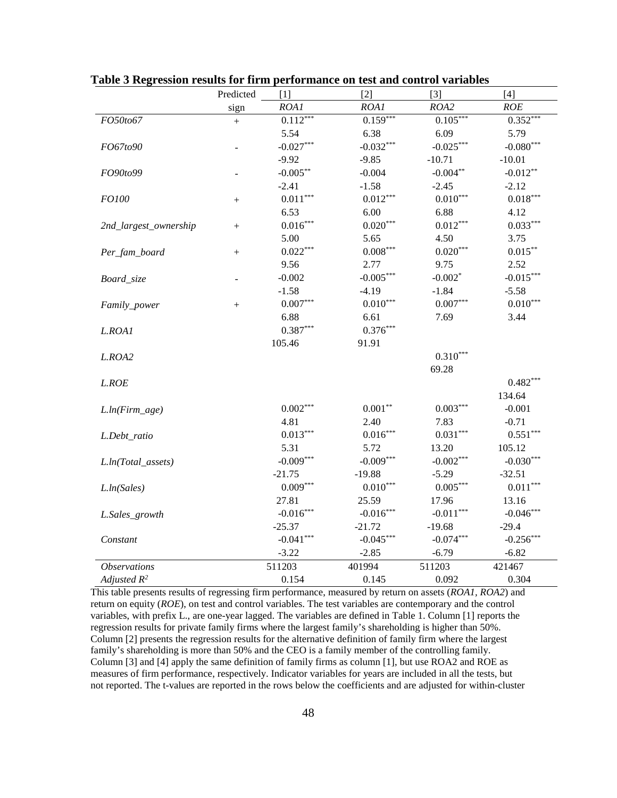|                            | Predicted | [1]             | $[2]$       | $[3]$       | [4]         |
|----------------------------|-----------|-----------------|-------------|-------------|-------------|
|                            | sign      | ROA1            | ROA1        | ROA2        | ROE         |
| FO50to67                   | $^{+}$    | $0.112***$      | $0.159***$  | $0.105***$  | $0.352***$  |
|                            |           | 5.54            | 6.38        | 6.09        | 5.79        |
| <i>FO67to90</i>            |           | $-0.027***$     | $-0.032***$ | $-0.025***$ | $-0.080***$ |
|                            |           | $-9.92$         | $-9.85$     | $-10.71$    | $-10.01$    |
| FO90to99                   |           | $-0.005***$     | $-0.004$    | $-0.004**$  | $-0.012**$  |
|                            |           | $-2.41$         | $-1.58$     | $-2.45$     | $-2.12$     |
| <i>FO100</i>               |           | $0.011***$      | $0.012***$  | $0.010***$  | $0.018***$  |
|                            |           | 6.53            | 6.00        | 6.88        | 4.12        |
| 2nd_largest_ownership      | $+$       | $0.016***$      | $0.020***$  | $0.012***$  | $0.033***$  |
|                            |           | 5.00            | 5.65        | 4.50        | 3.75        |
| Per_fam_board              | $^{+}$    | $0.022***$      | $0.008***$  | $0.020***$  | $0.015***$  |
|                            |           | 9.56            | 2.77        | 9.75        | 2.52        |
| Board_size                 |           | $-0.002$        | $-0.005***$ | $-0.002*$   | $-0.015***$ |
|                            |           | $-1.58$         | $-4.19$     | $-1.84$     | $-5.58$     |
| Family_power               | $^{+}$    | $0.007^{***}\,$ | $0.010***$  | $0.007***$  | $0.010***$  |
|                            |           | 6.88            | 6.61        | 7.69        | 3.44        |
| L.ROA1                     |           | $0.387***$      | $0.376***$  |             |             |
|                            |           | 105.46          | 91.91       |             |             |
| L.ROA2                     |           |                 |             | $0.310***$  |             |
|                            |           |                 |             | 69.28       |             |
| LROE                       |           |                 |             |             | $0.482***$  |
|                            |           |                 |             |             | 134.64      |
| $L. ln(Firm\_age)$         |           | $0.002***$      | $0.001**$   | $0.003***$  | $-0.001$    |
|                            |           | 4.81            | 2.40        | 7.83        | $-0.71$     |
| L.Debt_ratio               |           | $0.013***$      | $0.016***$  | $0.031***$  | $0.551***$  |
|                            |           | 5.31            | 5.72        | 13.20       | 105.12      |
| L.ln(Total_assets)         |           | $-0.009***$     | $-0.009***$ | $-0.002***$ | $-0.030***$ |
|                            |           | $-21.75$        | $-19.88$    | $-5.29$     | $-32.51$    |
| L. ln(Sales)               |           | $0.009***$      | $0.010***$  | $0.005***$  | $0.011***$  |
|                            |           | 27.81           | 25.59       | 17.96       | 13.16       |
| L.Sales_growth             |           | $-0.016***$     | $-0.016***$ | $-0.011***$ | $-0.046***$ |
|                            |           | $-25.37$        | $-21.72$    | $-19.68$    | $-29.4$     |
| Constant                   |           | $-0.041***$     | $-0.045***$ | $-0.074***$ | $-0.256***$ |
|                            |           | $-3.22$         | $-2.85$     | $-6.79$     | $-6.82$     |
| <i><b>Observations</b></i> |           | 511203          | 401994      | 511203      | 421467      |
| Adjusted $R^2$             |           | 0.154           | 0.145       | 0.092       | 0.304       |

**Table 3 Regression results for firm performance on test and control variables**

This table presents results of regressing firm performance, measured by return on assets (*ROA1, ROA2*) and return on equity (*ROE*), on test and control variables. The test variables are contemporary and the control variables, with prefix L., are one-year lagged. The variables are defined in Table 1. Column [1] reports the regression results for private family firms where the largest family's shareholding is higher than 50%. Column [2] presents the regression results for the alternative definition of family firm where the largest family's shareholding is more than 50% and the CEO is a family member of the controlling family. Column [3] and [4] apply the same definition of family firms as column [1], but use ROA2 and ROE as measures of firm performance, respectively. Indicator variables for years are included in all the tests, but not reported. The t-values are reported in the rows below the coefficients and are adjusted for within-cluster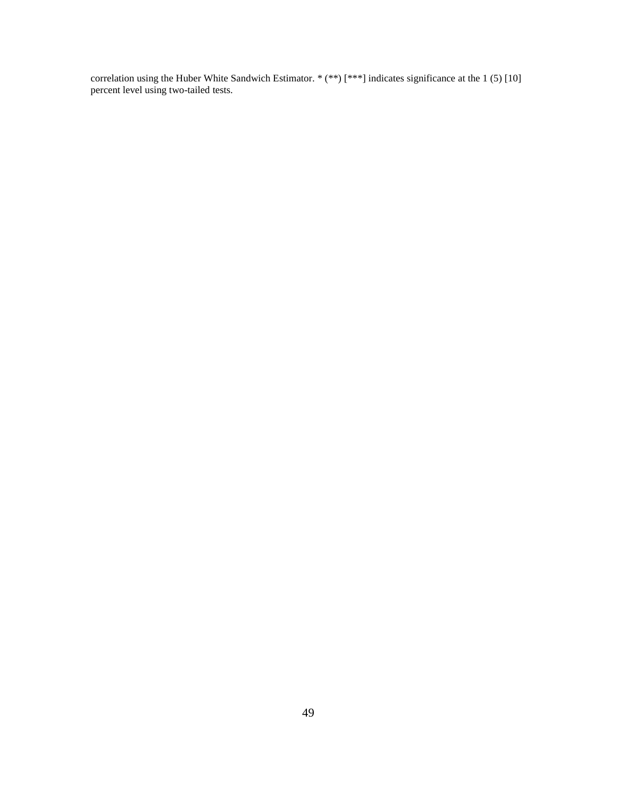correlation using the Huber White Sandwich Estimator. \* (\*\*) [\*\*\*] indicates significance at the 1 (5) [10] percent level using two-tailed tests.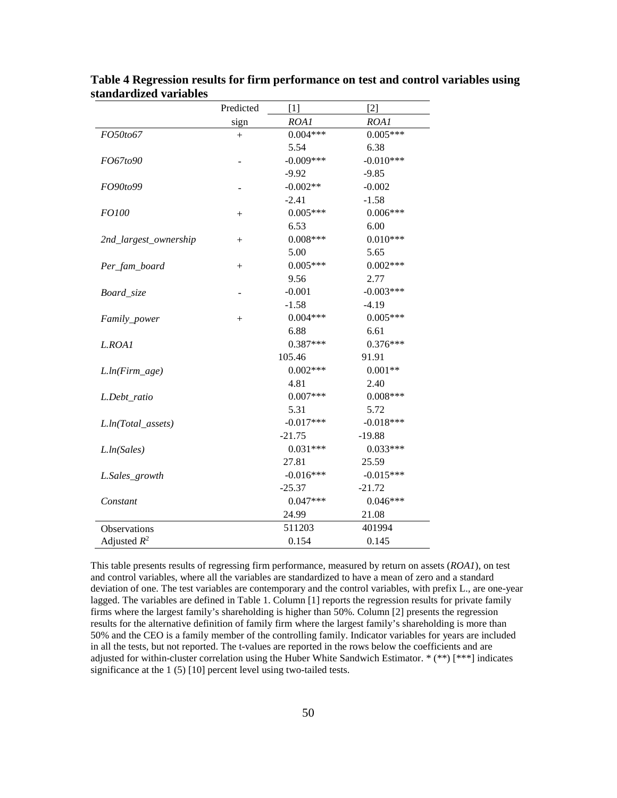|                         | Predicted | $[1]$       |             |
|-------------------------|-----------|-------------|-------------|
|                         | sign      | ROA1        | ROA1        |
| FO50to67                | $^{+}$    | $0.004***$  | $0.005***$  |
|                         |           | 5.54        | 6.38        |
| FO67to90                |           | $-0.009***$ | $-0.010***$ |
|                         |           | $-9.92$     | $-9.85$     |
| FO90to99                |           | $-0.002**$  | $-0.002$    |
|                         |           | $-2.41$     | $-1.58$     |
| FO100                   | $^{+}$    | $0.005***$  | $0.006***$  |
|                         |           | 6.53        | 6.00        |
| 2nd_largest_ownership   | $^{+}$    | $0.008***$  | $0.010***$  |
|                         |           | 5.00        | 5.65        |
| Per_fam_board           | $^{+}$    | $0.005***$  | $0.002***$  |
|                         |           | 9.56        | 2.77        |
| Board_size              |           | $-0.001$    | $-0.003***$ |
|                         |           | $-1.58$     | $-4.19$     |
| Family_power            | $^{+}$    | $0.004***$  | $0.005***$  |
|                         |           | 6.88        | 6.61        |
| L.ROA1                  |           | $0.387***$  | $0.376***$  |
|                         |           | 105.46      | 91.91       |
| $L ln(Firm\_age)$       |           | $0.002***$  | $0.001**$   |
|                         |           | 4.81        | 2.40        |
| L.Debt_ratio            |           | $0.007***$  | $0.008***$  |
|                         |           | 5.31        | 5.72        |
| $L ln(Total\_asserts)$  |           | $-0.017***$ | $-0.018***$ |
|                         |           | $-21.75$    | $-19.88$    |
| L <sub>ln</sub> (Sales) |           | $0.031***$  | $0.033***$  |
|                         |           | 27.81       | 25.59       |
| L.Sales_growth          |           | $-0.016***$ | $-0.015***$ |
|                         |           | $-25.37$    | $-21.72$    |
| Constant                |           | $0.047***$  | $0.046***$  |
|                         |           | 24.99       | 21.08       |
| <b>Observations</b>     |           | 511203      | 401994      |
| Adjusted $R^2$          |           | 0.154       | 0.145       |

**Table 4 Regression results for firm performance on test and control variables using standardized variables**

This table presents results of regressing firm performance, measured by return on assets (*ROA1*), on test and control variables, where all the variables are standardized to have a mean of zero and a standard deviation of one. The test variables are contemporary and the control variables, with prefix L.*,* are one-year lagged. The variables are defined in Table 1. Column [1] reports the regression results for private family firms where the largest family's shareholding is higher than 50%. Column [2] presents the regression results for the alternative definition of family firm where the largest family's shareholding is more than 50% and the CEO is a family member of the controlling family. Indicator variables for years are included in all the tests, but not reported. The t-values are reported in the rows below the coefficients and are adjusted for within-cluster correlation using the Huber White Sandwich Estimator. \* (\*\*) [\*\*\*] indicates significance at the 1 (5) [10] percent level using two-tailed tests.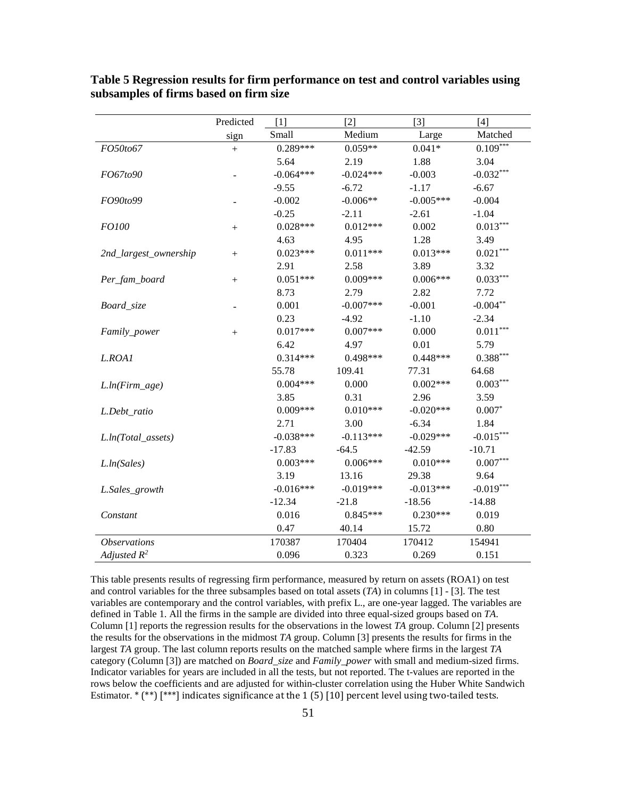|                            | Predicted | [1]         | [2]         | $[3]$       | $[4]$       |
|----------------------------|-----------|-------------|-------------|-------------|-------------|
|                            | sign      | Small       | Medium      | Large       | Matched     |
| FO50to67                   |           | $0.289***$  | $0.059**$   | $0.041*$    | $0.109***$  |
|                            |           | 5.64        | 2.19        | 1.88        | 3.04        |
| FO67to90                   |           | $-0.064***$ | $-0.024***$ | $-0.003$    | $-0.032***$ |
|                            |           | $-9.55$     | $-6.72$     | $-1.17$     | $-6.67$     |
| FO90to99                   |           | $-0.002$    | $-0.006**$  | $-0.005***$ | $-0.004$    |
|                            |           | $-0.25$     | $-2.11$     | $-2.61$     | $-1.04$     |
| <i>FO100</i>               | $^{+}$    | $0.028***$  | $0.012***$  | 0.002       | $0.013***$  |
|                            |           | 4.63        | 4.95        | 1.28        | 3.49        |
| 2nd_largest_ownership      | $^{+}$    | $0.023***$  | $0.011***$  | $0.013***$  | $0.021***$  |
|                            |           | 2.91        | 2.58        | 3.89        | 3.32        |
| Per_fam_board              | $^{+}$    | $0.051***$  | $0.009***$  | $0.006***$  | $0.033***$  |
|                            |           | 8.73        | 2.79        | 2.82        | 7.72        |
| Board_size                 |           | 0.001       | $-0.007***$ | $-0.001$    | $-0.004***$ |
|                            |           | 0.23        | $-4.92$     | $-1.10$     | $-2.34$     |
| Family_power               | $^{+}$    | $0.017***$  | $0.007***$  | 0.000       | $0.011***$  |
|                            |           | 6.42        | 4.97        | 0.01        | 5.79        |
| L.ROA1                     |           | $0.314***$  | 0.498***    | $0.448***$  | $0.388***$  |
|                            |           | 55.78       | 109.41      | 77.31       | 64.68       |
| $L ln(Firm\_age)$          |           | $0.004***$  | 0.000       | $0.002***$  | $0.003***$  |
|                            |           | 3.85        | 0.31        | 2.96        | 3.59        |
| L.Debt_ratio               |           | $0.009***$  | $0.010***$  | $-0.020***$ | $0.007*$    |
|                            |           | 2.71        | 3.00        | $-6.34$     | 1.84        |
| L.ln(Total_assets)         |           | $-0.038***$ | $-0.113***$ | $-0.029***$ | $-0.015***$ |
|                            |           | $-17.83$    | $-64.5$     | $-42.59$    | $-10.71$    |
| L <sub>ln</sub> (Sales)    |           | $0.003***$  | $0.006***$  | $0.010***$  | $0.007***$  |
|                            |           | 3.19        | 13.16       | 29.38       | 9.64        |
| L.Sales_growth             |           | $-0.016***$ | $-0.019***$ | $-0.013***$ | $-0.019***$ |
|                            |           | $-12.34$    | $-21.8$     | $-18.56$    | $-14.88$    |
| Constant                   |           | 0.016       | $0.845***$  | $0.230***$  | 0.019       |
|                            |           | 0.47        | 40.14       | 15.72       | 0.80        |
| <i><b>Observations</b></i> |           | 170387      | 170404      | 170412      | 154941      |
| Adjusted $R^2$             |           | 0.096       | 0.323       | 0.269       | 0.151       |

**Table 5 Regression results for firm performance on test and control variables using subsamples of firms based on firm size**

This table presents results of regressing firm performance, measured by return on assets (ROA1) on test and control variables for the three subsamples based on total assets (*TA*) in columns [1] - [3]. The test variables are contemporary and the control variables, with prefix L., are one-year lagged. The variables are defined in Table 1. All the firms in the sample are divided into three equal-sized groups based on *TA*. Column [1] reports the regression results for the observations in the lowest *TA* group. Column [2] presents the results for the observations in the midmost *TA* group. Column [3] presents the results for firms in the largest *TA* group. The last column reports results on the matched sample where firms in the largest *TA* category (Column [3]) are matched on *Board\_size* and *Family\_power* with small and medium-sized firms. Indicator variables for years are included in all the tests, but not reported. The t-values are reported in the rows below the coefficients and are adjusted for within-cluster correlation using the Huber White Sandwich Estimator. \* (\*\*) [\*\*\*] indicates significance at the 1 (5) [10] percent level using two-tailed tests.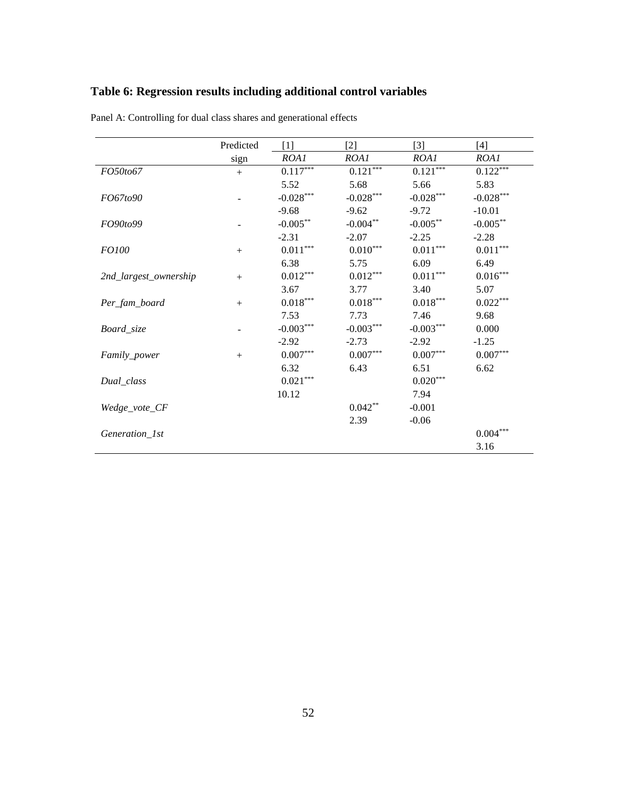# **Table 6: Regression results including additional control variables**

|                       | Predicted | $[1]$                  | $\lceil 2 \rceil$      | $[3]$                  | $[4]$                  |
|-----------------------|-----------|------------------------|------------------------|------------------------|------------------------|
|                       | sign      | ROA1                   | ROA1                   | ROA1                   | ROA1                   |
| FO50to67              | $+$       | $0.117^{\ast\ast\ast}$ | $0.121***$             | $0.121***$             | $0.122***$             |
|                       |           | 5.52                   | 5.68                   | 5.66                   | 5.83                   |
| FO67to90              |           | $-0.028***$            | $-0.028***$            | $-0.028***$            | $-0.028***$            |
|                       |           | $-9.68$                | $-9.62$                | $-9.72$                | $-10.01$               |
| FO90to99              |           | $-0.005***$            | $-0.004***$            | $-0.005***$            | $-0.005***$            |
|                       |           | $-2.31$                | $-2.07$                | $-2.25$                | $-2.28$                |
| <i>FO100</i>          | $^{+}$    | $0.011^{\ast\ast\ast}$ | $0.010^{\ast\ast\ast}$ | $0.011^{\ast\ast\ast}$ | $0.011^{***}$          |
|                       |           | 6.38                   | 5.75                   | 6.09                   | 6.49                   |
| 2nd_largest_ownership |           | $0.012***$             | $0.012***$             | $0.011^{\ast\ast\ast}$ | $0.016^{\ast\ast\ast}$ |
|                       |           | 3.67                   | 3.77                   | 3.40                   | 5.07                   |
| Per_fam_board         | $^{+}$    | $0.018^{\ast\ast\ast}$ | $0.018^{\ast\ast\ast}$ | $0.018^{\ast\ast\ast}$ | $0.022***$             |
|                       |           | 7.53                   | 7.73                   | 7.46                   | 9.68                   |
| Board_size            |           | $-0.003***$            | $-0.003***$            | $-0.003***$            | 0.000                  |
|                       |           | $-2.92$                | $-2.73$                | $-2.92$                | $-1.25$                |
| Family_power          | $^{+}$    | $0.007^{\ast\ast\ast}$ | $0.007^{\ast\ast\ast}$ | $0.007***$             | $0.007***$             |
|                       |           | 6.32                   | 6.43                   | 6.51                   | 6.62                   |
| Dual_class            |           | $0.021^{\ast\ast\ast}$ |                        | $0.020^{***}$          |                        |
|                       |           | 10.12                  |                        | 7.94                   |                        |
| Wedge_vote_CF         |           |                        | $0.042**$              | $-0.001$               |                        |
|                       |           |                        | 2.39                   | $-0.06$                |                        |
| Generation_1st        |           |                        |                        |                        | $0.004\sp{***}$        |
|                       |           |                        |                        |                        | 3.16                   |

Panel A: Controlling for dual class shares and generational effects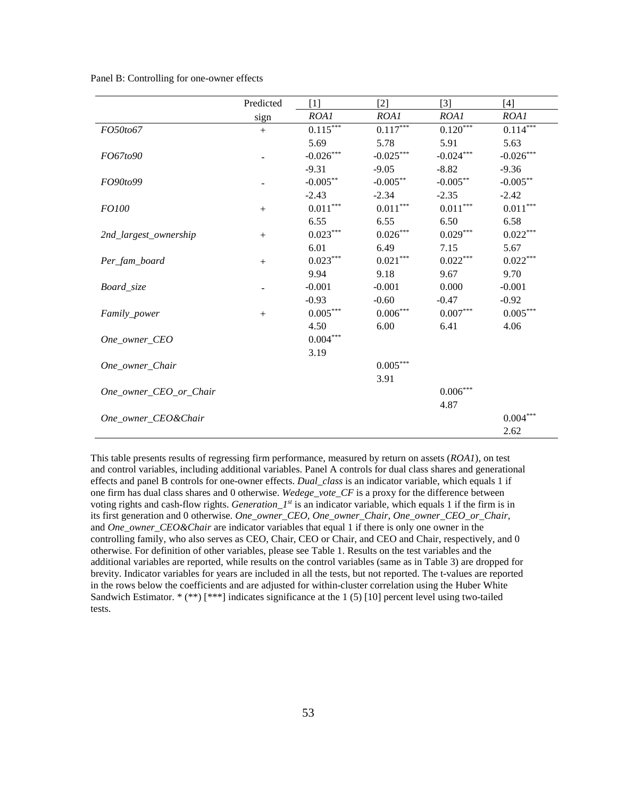| Panel B: Controlling for one-owner effects |  |
|--------------------------------------------|--|
|--------------------------------------------|--|

|                        | Predicted | [1]                    | $[2]$                  | $[3]$         | $[4]$           |
|------------------------|-----------|------------------------|------------------------|---------------|-----------------|
|                        | sign      | ROAI                   | ROA1                   | ROA1          | ROA1            |
| FO50to67               | $+$       | $0.115***$             | $0.117***$             | $0.120***$    | $0.114***$      |
|                        |           | 5.69                   | 5.78                   | 5.91          | 5.63            |
| FO67to90               |           | $-0.026***$            | $-0.025***$            | $-0.024***$   | $-0.026***$     |
|                        |           | $-9.31$                | $-9.05$                | $-8.82$       | $-9.36$         |
| FO90to99               |           | $-0.005***$            | $-0.005***$            | $-0.005***$   | $-0.005***$     |
|                        |           | $-2.43$                | $-2.34$                | $-2.35$       | $-2.42$         |
| <i>FO100</i>           | $+$       | $0.011^{\ast\ast\ast}$ | $0.011^{\ast\ast\ast}$ | $0.011***$    | $0.011^{***}$   |
|                        |           | 6.55                   | 6.55                   | 6.50          | 6.58            |
| 2nd_largest_ownership  | $+$       | $0.023***$             | $0.026***$             | $0.029***$    | $0.022***$      |
|                        |           | 6.01                   | 6.49                   | 7.15          | 5.67            |
| Per_fam_board          | $+$       | $0.023***$             | $0.021***$             | $0.022***$    | $0.022***$      |
|                        |           | 9.94                   | 9.18                   | 9.67          | 9.70            |
| Board_size             |           | $-0.001$               | $-0.001$               | 0.000         | $-0.001$        |
|                        |           | $-0.93$                | $-0.60$                | $-0.47$       | $-0.92$         |
| Family_power           | $+$       | $0.005***$             | $0.006\sp{***}$        | $0.007^{***}$ | $0.005^{***}$   |
|                        |           | 4.50                   | 6.00                   | 6.41          | 4.06            |
| One_owner_CEO          |           | $0.004***$             |                        |               |                 |
|                        |           | 3.19                   |                        |               |                 |
| One_owner_Chair        |           |                        | $0.005^{***}$          |               |                 |
|                        |           |                        | 3.91                   |               |                 |
| One owner CEO or Chair |           |                        |                        | $0.006***$    |                 |
|                        |           |                        |                        | 4.87          |                 |
| One_owner_CEO&Chair    |           |                        |                        |               | $0.004^{***}\,$ |
|                        |           |                        |                        |               | 2.62            |

This table presents results of regressing firm performance, measured by return on assets (*ROA1*), on test and control variables, including additional variables. Panel A controls for dual class shares and generational effects and panel B controls for one-owner effects. *Dual\_class* is an indicator variable, which equals 1 if one firm has dual class shares and 0 otherwise. *Wedege\_vote\_CF* is a proxy for the difference between voting rights and cash-flow rights. *Generation\_1st* is an indicator variable, which equals 1 if the firm is in its first generation and 0 otherwise. *One\_owner\_CEO, One\_owner\_Chair, One\_owner\_CEO\_or\_Chair*, and *One\_owner\_CEO&Chair* are indicator variables that equal 1 if there is only one owner in the controlling family, who also serves as CEO, Chair, CEO or Chair, and CEO and Chair, respectively, and 0 otherwise. For definition of other variables, please see Table 1. Results on the test variables and the additional variables are reported, while results on the control variables (same as in Table 3) are dropped for brevity. Indicator variables for years are included in all the tests, but not reported. The t-values are reported in the rows below the coefficients and are adjusted for within-cluster correlation using the Huber White Sandwich Estimator. \* (\*\*) [\*\*\*] indicates significance at the 1 (5) [10] percent level using two-tailed tests.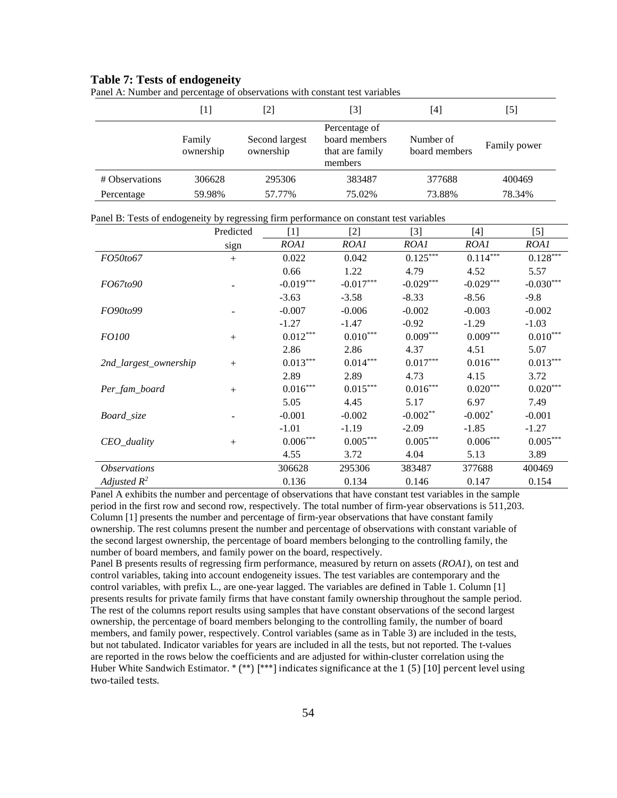#### **Table 7: Tests of endogeneity**

|                | [1]                 | [2]                         | [3]                                                          | $\lceil 4 \rceil$          | $\vert 5 \vert$ |
|----------------|---------------------|-----------------------------|--------------------------------------------------------------|----------------------------|-----------------|
|                | Family<br>ownership | Second largest<br>ownership | Percentage of<br>board members<br>that are family<br>members | Number of<br>board members | Family power    |
| # Observations | 306628              | 295306                      | 383487                                                       | 377688                     | 400469          |
| Percentage     | 59.98%              | 57.77%                      | 75.02%                                                       | 73.88%                     | 78.34%          |

Panel A: Number and percentage of observations with constant test variables

Panel B: Tests of endogeneity by regressing firm performance on constant test variables

|                            | Predicted | [1]                    | $[2]$                  | $[3]$                  | [4]                    | $[5]$         |
|----------------------------|-----------|------------------------|------------------------|------------------------|------------------------|---------------|
|                            | sign      | ROA1                   | ROA1                   | ROA1                   | ROA1                   | ROA1          |
| FO50to67                   | $+$       | 0.022                  | 0.042                  | $0.125***$             | $0.114***$             | $0.128***$    |
|                            |           | 0.66                   | 1.22                   | 4.79                   | 4.52                   | 5.57          |
| FO67to90                   |           | $-0.019***$            | $-0.017***$            | $-0.029***$            | $-0.029***$            | $-0.030***$   |
|                            |           | $-3.63$                | $-3.58$                | $-8.33$                | $-8.56$                | $-9.8$        |
| FO90to99                   |           | $-0.007$               | $-0.006$               | $-0.002$               | $-0.003$               | $-0.002$      |
|                            |           | $-1.27$                | $-1.47$                | $-0.92$                | $-1.29$                | $-1.03$       |
| <i>FO100</i>               | $+$       | $0.012***$             | $0.010^{\ast\ast\ast}$ | $0.009***$             | $0.009***$             | $0.010***$    |
|                            |           | 2.86                   | 2.86                   | 4.37                   | 4.51                   | 5.07          |
| 2nd_largest_ownership      | $+$       | $0.013***$             | $0.014***$             | $0.017^{\ast\ast\ast}$ | $0.016^{\ast\ast\ast}$ | $0.013^{***}$ |
|                            |           | 2.89                   | 2.89                   | 4.73                   | 4.15                   | 3.72          |
| Per_fam_board              | $+$       | $0.016^{\ast\ast\ast}$ | $0.015^{***}$          | $0.016^{***}$          | $0.020^{\ast\ast\ast}$ | $0.020***$    |
|                            |           | 5.05                   | 4.45                   | 5.17                   | 6.97                   | 7.49          |
| Board_size                 |           | $-0.001$               | $-0.002$               | $-0.002**$             | $-0.002*$              | $-0.001$      |
|                            |           | $-1.01$                | $-1.19$                | $-2.09$                | $-1.85$                | $-1.27$       |
| CEO_duality                | $^{+}$    | $0.006\sp{***}$        | $0.005^{***}$          | $0.005^{\ast\ast\ast}$ | $0.006\sp{***}$        | $0.005^{***}$ |
|                            |           | 4.55                   | 3.72                   | 4.04                   | 5.13                   | 3.89          |
| <i><b>Observations</b></i> |           | 306628                 | 295306                 | 383487                 | 377688                 | 400469        |
| Adjusted $R^2$             |           | 0.136                  | 0.134                  | 0.146                  | 0.147                  | 0.154         |

Panel A exhibits the number and percentage of observations that have constant test variables in the sample period in the first row and second row, respectively. The total number of firm-year observations is 511,203. Column [1] presents the number and percentage of firm-year observations that have constant family ownership. The rest columns present the number and percentage of observations with constant variable of the second largest ownership, the percentage of board members belonging to the controlling family, the number of board members, and family power on the board, respectively.

Panel B presents results of regressing firm performance, measured by return on assets (*ROA1*), on test and control variables, taking into account endogeneity issues. The test variables are contemporary and the control variables, with prefix L., are one-year lagged. The variables are defined in Table 1. Column [1] presents results for private family firms that have constant family ownership throughout the sample period. The rest of the columns report results using samples that have constant observations of the second largest ownership, the percentage of board members belonging to the controlling family, the number of board members, and family power, respectively. Control variables (same as in Table 3) are included in the tests, but not tabulated. Indicator variables for years are included in all the tests, but not reported. The t-values are reported in the rows below the coefficients and are adjusted for within-cluster correlation using the Huber White Sandwich Estimator. \* (\*\*) [\*\*\*] indicates significance at the 1 (5) [10] percent level using two-tailed tests.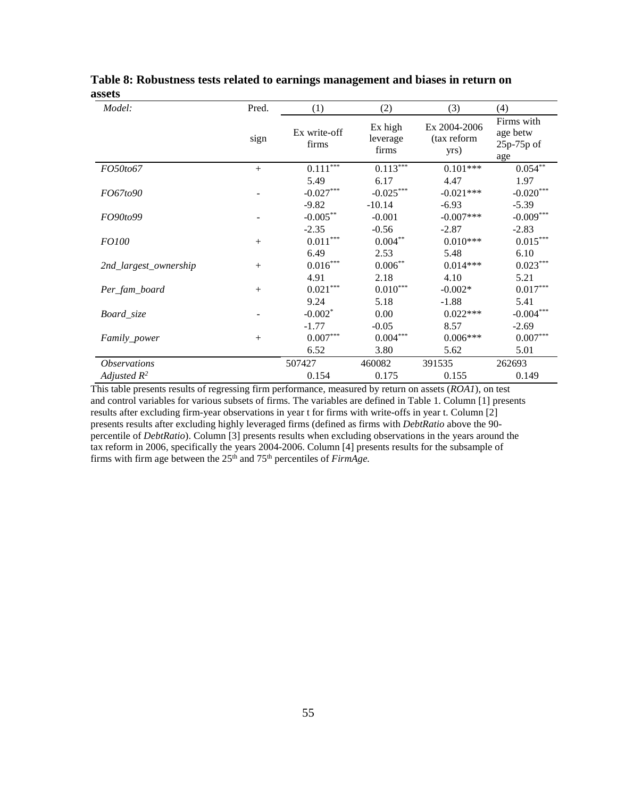| Model:                     | Pred.  | (1)                               | (2)                          | (3)                                 | (4)                                           |
|----------------------------|--------|-----------------------------------|------------------------------|-------------------------------------|-----------------------------------------------|
|                            | sign   | Ex write-off<br>firms             | Ex high<br>leverage<br>firms | Ex 2004-2006<br>(tax reform<br>yrs) | Firms with<br>age betw<br>$25p-75p$ of<br>age |
| FO50to67                   | $+$    | $0.111***$                        | $0.113***$                   | $0.101***$                          | $0.054$ <sup>**</sup>                         |
| FO67to90                   |        | 5.49<br>$-0.027***$               | 6.17<br>$-0.025***$          | 4.47<br>$-0.021***$                 | 1.97<br>$-0.020***$                           |
|                            |        | $-9.82$                           | $-10.14$                     | $-6.93$                             | $-5.39$                                       |
| FO90to99                   |        | $-0.005***$                       | $-0.001$                     | $-0.007***$                         | $-0.009***$                                   |
| <i>FO100</i>               | $+$    | $-2.35$<br>$0.011^{\ast\ast\ast}$ | $-0.56$<br>$0.004***$        | $-2.87$<br>$0.010***$               | $-2.83$<br>$0.015^{***}$                      |
| 2nd_largest_ownership      |        | 6.49<br>$0.016^{\ast\ast\ast}$    | 2.53<br>$0.006***$           | 5.48<br>$0.014***$                  | 6.10<br>$0.023***$                            |
| Per_fam_board              | $^{+}$ | 4.91<br>$0.021^{\ast\ast\ast}$    | 2.18<br>$0.010***$           | 4.10<br>$-0.002*$                   | 5.21<br>$0.017^{\ast\ast\ast}$                |
| Board_size                 |        | 9.24<br>$-0.002$ <sup>*</sup>     | 5.18<br>0.00                 | $-1.88$<br>$0.022***$               | 5.41<br>$-0.004***$                           |
| <i>Family_power</i>        | $^{+}$ | $-1.77$<br>$0.007^{\ast\ast\ast}$ | $-0.05$<br>$0.004^{***}\,$   | 8.57<br>$0.006***$                  | $-2.69$<br>$0.007^{\ast\ast\ast}$             |
|                            |        | 6.52                              | 3.80                         | 5.62                                | 5.01                                          |
| <i><b>Observations</b></i> |        | 507427                            | 460082                       | 391535                              | 262693                                        |
| Adjusted $R^2$             |        | 0.154                             | 0.175                        | 0.155                               | 0.149                                         |

**Table 8: Robustness tests related to earnings management and biases in return on assets**

This table presents results of regressing firm performance, measured by return on assets (*ROA1*), on test and control variables for various subsets of firms. The variables are defined in Table 1. Column [1] presents results after excluding firm-year observations in year t for firms with write-offs in year t. Column [2] presents results after excluding highly leveraged firms (defined as firms with *DebtRatio* above the 90 percentile of *DebtRatio*). Column [3] presents results when excluding observations in the years around the tax reform in 2006, specifically the years 2004-2006. Column [4] presents results for the subsample of firms with firm age between the 25<sup>th</sup> and 75<sup>th</sup> percentiles of *FirmAge*.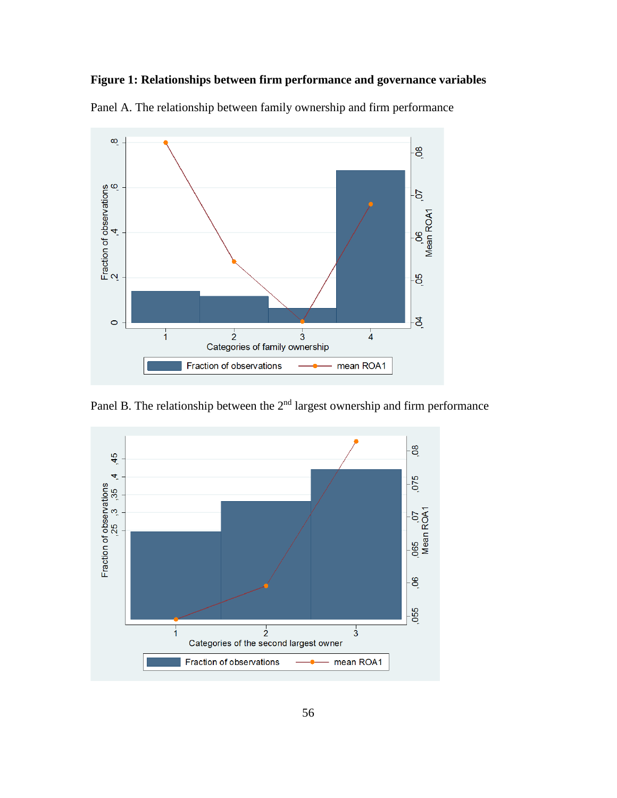### **Figure 1: Relationships between firm performance and governance variables**



Panel A. The relationship between family ownership and firm performance

Panel B. The relationship between the  $2<sup>nd</sup>$  largest ownership and firm performance